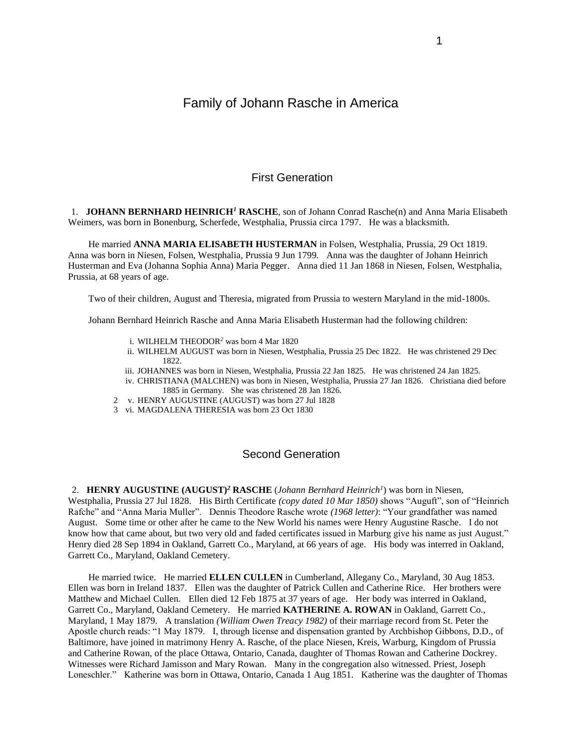# Family of Johann Rasche in America

## First Generation

1. **JOHANN BERNHARD HEINRICH***<sup>1</sup>* **RASCHE**, son of Johann Conrad Rasche(n) and Anna Maria Elisabeth Weimers, was born in Bonenburg, Scherfede, Westphalia, Prussia circa 1797. He was a blacksmith.

He married **ANNA MARIA ELISABETH HUSTERMAN** in Folsen, Westphalia, Prussia, 29 Oct 1819. Anna was born in Niesen, Folsen, Westphalia, Prussia 9 Jun 1799. Anna was the daughter of Johann Heinrich Husterman and Eva (Johanna Sophia Anna) Maria Pegger. Anna died 11 Jan 1868 in Niesen, Folsen, Westphalia, Prussia, at 68 years of age.

Two of their children, August and Theresia, migrated from Prussia to western Maryland in the mid-1800s.

Johann Bernhard Heinrich Rasche and Anna Maria Elisabeth Husterman had the following children:

- i. WILHELM THEODOR*<sup>2</sup>* was born 4 Mar 1820
- ii. WILHELM AUGUST was born in Niesen, Westphalia, Prussia 25 Dec 1822. He was christened 29 Dec 1822.
- iii. JOHANNES was born in Niesen, Westphalia, Prussia 22 Jan 1825. He was christened 24 Jan 1825. iv. CHRISTIANA (MALCHEN) was born in Niesen, Westphalia, Prussia 27 Jan 1826. Christiana died before 1885 in Germany. She was christened 28 Jan 1826.
- 2 v. HENRY AUGUSTINE (AUGUST) was born 27 Jul 1828
- 3 vi. MAGDALENA THERESIA was born 23 Oct 1830

### Second Generation

2. **HENRY AUGUSTINE (AUGUST)***<sup>2</sup>* **RASCHE** (*Johann Bernhard Heinrich<sup>1</sup>* ) was born in Niesen, Westphalia, Prussia 27 Jul 1828. His Birth Certificate *(copy dated 10 Mar 1850)* shows "Auguft", son of "Heinrich Rafche" and "Anna Maria Muller". Dennis Theodore Rasche wrote *(1968 letter)*: "Your grandfather was named August. Some time or other after he came to the New World his names were Henry Augustine Rasche. I do not know how that came about, but two very old and faded certificates issued in Marburg give his name as just August." Henry died 28 Sep 1894 in Oakland, Garrett Co., Maryland, at 66 years of age. His body was interred in Oakland, Garrett Co., Maryland, Oakland Cemetery.

He married twice. He married **ELLEN CULLEN** in Cumberland, Allegany Co., Maryland, 30 Aug 1853. Ellen was born in Ireland 1837. Ellen was the daughter of Patrick Cullen and Catherine Rice. Her brothers were Matthew and Michael Cullen. Ellen died 12 Feb 1875 at 37 years of age. Her body was interred in Oakland, Garrett Co., Maryland, Oakland Cemetery. He married **KATHERINE A. ROWAN** in Oakland, Garrett Co., Maryland, 1 May 1879. A translation *(William Owen Treacy 1982)* of their marriage record from St. Peter the Apostle church reads: "1 May 1879. I, through license and dispensation granted by Archbishop Gibbons, D.D., of Baltimore, have joined in matrimony Henry A. Rasche, of the place Niesen, Kreis, Warburg, Kingdom of Prussia and Catherine Rowan, of the place Ottawa, Ontario, Canada, daughter of Thomas Rowan and Catherine Dockrey. Witnesses were Richard Jamisson and Mary Rowan. Many in the congregation also witnessed. Priest, Joseph Loneschler." Katherine was born in Ottawa, Ontario, Canada 1 Aug 1851. Katherine was the daughter of Thomas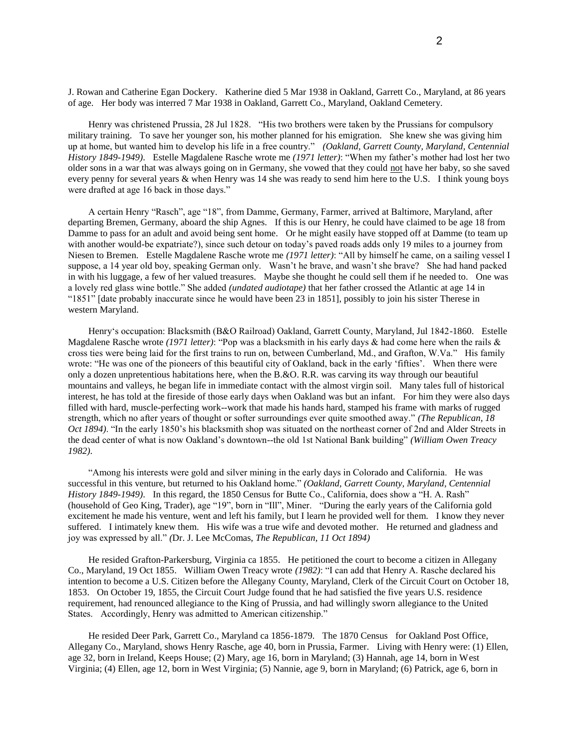J. Rowan and Catherine Egan Dockery. Katherine died 5 Mar 1938 in Oakland, Garrett Co., Maryland, at 86 years of age. Her body was interred 7 Mar 1938 in Oakland, Garrett Co., Maryland, Oakland Cemetery.

Henry was christened Prussia, 28 Jul 1828. "His two brothers were taken by the Prussians for compulsory military training. To save her younger son, his mother planned for his emigration. She knew she was giving him up at home, but wanted him to develop his life in a free country." *(Oakland, Garrett County, Maryland, Centennial History 1849-1949)*. Estelle Magdalene Rasche wrote me *(1971 letter)*: "When my father's mother had lost her two older sons in a war that was always going on in Germany, she vowed that they could not have her baby, so she saved every penny for several years & when Henry was 14 she was ready to send him here to the U.S. I think young boys were drafted at age 16 back in those days."

A certain Henry "Rasch", age "18", from Damme, Germany, Farmer, arrived at Baltimore, Maryland, after departing Bremen, Germany, aboard the ship Agnes. If this is our Henry, he could have claimed to be age 18 from Damme to pass for an adult and avoid being sent home. Or he might easily have stopped off at Damme (to team up with another would-be expatriate?), since such detour on today's paved roads adds only 19 miles to a journey from Niesen to Bremen. Estelle Magdalene Rasche wrote me *(1971 letter)*: "All by himself he came, on a sailing vessel I suppose, a 14 year old boy, speaking German only. Wasn't he brave, and wasn't she brave? She had hand packed in with his luggage, a few of her valued treasures. Maybe she thought he could sell them if he needed to. One was a lovely red glass wine bottle." She added *(undated audiotape)* that her father crossed the Atlantic at age 14 in "1851" [date probably inaccurate since he would have been 23 in 1851], possibly to join his sister Therese in western Maryland.

Henry's occupation: Blacksmith (B&O Railroad) Oakland, Garrett County, Maryland, Jul 1842-1860. Estelle Magdalene Rasche wrote *(1971 letter)*: "Pop was a blacksmith in his early days & had come here when the rails & cross ties were being laid for the first trains to run on, between Cumberland, Md., and Grafton, W.Va." His family wrote: "He was one of the pioneers of this beautiful city of Oakland, back in the early 'fifties'. When there were only a dozen unpretentious habitations here, when the B.&O. R.R. was carving its way through our beautiful mountains and valleys, he began life in immediate contact with the almost virgin soil. Many tales full of historical interest, he has told at the fireside of those early days when Oakland was but an infant. For him they were also days filled with hard, muscle-perfecting work--work that made his hands hard, stamped his frame with marks of rugged strength, which no after years of thought or softer surroundings ever quite smoothed away." *(The Republican, 18 Oct 1894)*. "In the early 1850's his blacksmith shop was situated on the northeast corner of 2nd and Alder Streets in the dead center of what is now Oakland's downtown--the old 1st National Bank building" *(William Owen Treacy 1982)*.

"Among his interests were gold and silver mining in the early days in Colorado and California. He was successful in this venture, but returned to his Oakland home." *(Oakland, Garrett County, Maryland, Centennial History 1849-1949)*. In this regard, the 1850 Census for Butte Co., California, does show a "H. A. Rash" (household of Geo King, Trader), age "19", born in "Ill", Miner. "During the early years of the California gold excitement he made his venture, went and left his family, but I learn he provided well for them. I know they never suffered. I intimately knew them. His wife was a true wife and devoted mother. He returned and gladness and joy was expressed by all." *(*Dr. J. Lee McComas, *The Republican, 11 Oct 1894)*

He resided Grafton-Parkersburg, Virginia ca 1855. He petitioned the court to become a citizen in Allegany Co., Maryland, 19 Oct 1855. William Owen Treacy wrote *(1982)*: "I can add that Henry A. Rasche declared his intention to become a U.S. Citizen before the Allegany County, Maryland, Clerk of the Circuit Court on October 18, 1853. On October 19, 1855, the Circuit Court Judge found that he had satisfied the five years U.S. residence requirement, had renounced allegiance to the King of Prussia, and had willingly sworn allegiance to the United States. Accordingly, Henry was admitted to American citizenship."

He resided Deer Park, Garrett Co., Maryland ca 1856-1879. The 1870 Census for Oakland Post Office, Allegany Co., Maryland, shows Henry Rasche, age 40, born in Prussia, Farmer. Living with Henry were: (1) Ellen, age 32, born in Ireland, Keeps House; (2) Mary, age 16, born in Maryland; (3) Hannah, age 14, born in West Virginia; (4) Ellen, age 12, born in West Virginia; (5) Nannie, age 9, born in Maryland; (6) Patrick, age 6, born in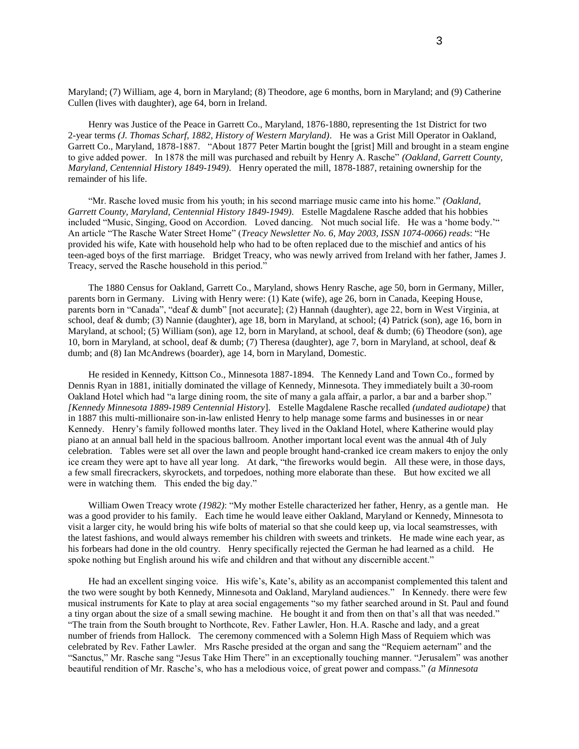Maryland; (7) William, age 4, born in Maryland; (8) Theodore, age 6 months, born in Maryland; and (9) Catherine Cullen (lives with daughter), age 64, born in Ireland.

Henry was Justice of the Peace in Garrett Co., Maryland, 1876-1880, representing the 1st District for two 2-year terms *(J. Thomas Scharf, 1882, History of Western Maryland)*. He was a Grist Mill Operator in Oakland, Garrett Co., Maryland, 1878-1887. "About 1877 Peter Martin bought the [grist] Mill and brought in a steam engine to give added power. In 1878 the mill was purchased and rebuilt by Henry A. Rasche" *(Oakland, Garrett County, Maryland, Centennial History 1849-1949)*. Henry operated the mill, 1878-1887, retaining ownership for the remainder of his life.

"Mr. Rasche loved music from his youth; in his second marriage music came into his home." *(Oakland, Garrett County, Maryland, Centennial History 1849-1949)*. Estelle Magdalene Rasche added that his hobbies included "Music, Singing, Good on Accordion. Loved dancing. Not much social life. He was a 'home body.'" An article "The Rasche Water Street Home" (*Treacy Newsletter No. 6, May 2003, ISSN 1074-0066) read*s: "He provided his wife, Kate with household help who had to be often replaced due to the mischief and antics of his teen-aged boys of the first marriage. Bridget Treacy, who was newly arrived from Ireland with her father, James J. Treacy, served the Rasche household in this period."

The 1880 Census for Oakland, Garrett Co., Maryland, shows Henry Rasche, age 50, born in Germany, Miller, parents born in Germany. Living with Henry were: (1) Kate (wife), age 26, born in Canada, Keeping House, parents born in "Canada", "deaf & dumb" [not accurate]; (2) Hannah (daughter), age 22, born in West Virginia, at school, deaf & dumb; (3) Nannie (daughter), age 18, born in Maryland, at school; (4) Patrick (son), age 16, born in Maryland, at school; (5) William (son), age 12, born in Maryland, at school, deaf & dumb; (6) Theodore (son), age 10, born in Maryland, at school, deaf & dumb; (7) Theresa (daughter), age 7, born in Maryland, at school, deaf & dumb; and (8) Ian McAndrews (boarder), age 14, born in Maryland, Domestic.

He resided in Kennedy, Kittson Co., Minnesota 1887-1894. The Kennedy Land and Town Co., formed by Dennis Ryan in 1881, initially dominated the village of Kennedy, Minnesota. They immediately built a 30-room Oakland Hotel which had "a large dining room, the site of many a gala affair, a parlor, a bar and a barber shop." *[Kennedy Minnesota 1889-1989 Centennial History*]. Estelle Magdalene Rasche recalled *(undated audiotape)* that in 1887 this multi-millionaire son-in-law enlisted Henry to help manage some farms and businesses in or near Kennedy. Henry's family followed months later. They lived in the Oakland Hotel, where Katherine would play piano at an annual ball held in the spacious ballroom. Another important local event was the annual 4th of July celebration. Tables were set all over the lawn and people brought hand-cranked ice cream makers to enjoy the only ice cream they were apt to have all year long. At dark, "the fireworks would begin. All these were, in those days, a few small firecrackers, skyrockets, and torpedoes, nothing more elaborate than these. But how excited we all were in watching them. This ended the big day."

William Owen Treacy wrote *(1982)*: "My mother Estelle characterized her father, Henry, as a gentle man. He was a good provider to his family. Each time he would leave either Oakland, Maryland or Kennedy, Minnesota to visit a larger city, he would bring his wife bolts of material so that she could keep up, via local seamstresses, with the latest fashions, and would always remember his children with sweets and trinkets. He made wine each year, as his forbears had done in the old country. Henry specifically rejected the German he had learned as a child. He spoke nothing but English around his wife and children and that without any discernible accent."

He had an excellent singing voice. His wife's, Kate's, ability as an accompanist complemented this talent and the two were sought by both Kennedy, Minnesota and Oakland, Maryland audiences." In Kennedy. there were few musical instruments for Kate to play at area social engagements "so my father searched around in St. Paul and found a tiny organ about the size of a small sewing machine. He bought it and from then on that's all that was needed." "The train from the South brought to Northcote, Rev. Father Lawler, Hon. H.A. Rasche and lady, and a great number of friends from Hallock. The ceremony commenced with a Solemn High Mass of Requiem which was celebrated by Rev. Father Lawler. Mrs Rasche presided at the organ and sang the "Requiem aeternam" and the "Sanctus," Mr. Rasche sang "Jesus Take Him There" in an exceptionally touching manner. "Jerusalem" was another beautiful rendition of Mr. Rasche's, who has a melodious voice, of great power and compass." *(a Minnesota*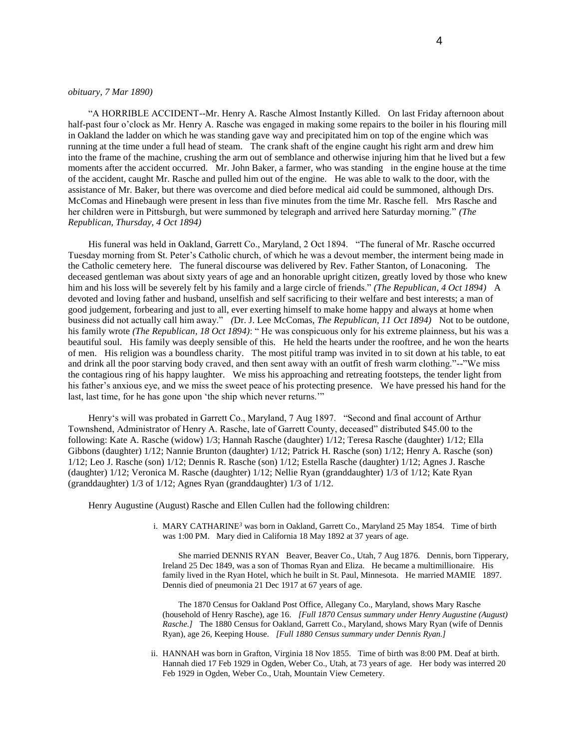### *obituary, 7 Mar 1890)*

"A HORRIBLE ACCIDENT--Mr. Henry A. Rasche Almost Instantly Killed. On last Friday afternoon about half-past four o'clock as Mr. Henry A. Rasche was engaged in making some repairs to the boiler in his flouring mill in Oakland the ladder on which he was standing gave way and precipitated him on top of the engine which was running at the time under a full head of steam. The crank shaft of the engine caught his right arm and drew him into the frame of the machine, crushing the arm out of semblance and otherwise injuring him that he lived but a few moments after the accident occurred. Mr. John Baker, a farmer, who was standing in the engine house at the time of the accident, caught Mr. Rasche and pulled him out of the engine. He was able to walk to the door, with the assistance of Mr. Baker, but there was overcome and died before medical aid could be summoned, although Drs. McComas and Hinebaugh were present in less than five minutes from the time Mr. Rasche fell. Mrs Rasche and her children were in Pittsburgh, but were summoned by telegraph and arrived here Saturday morning." *(The Republican, Thursday, 4 Oct 1894)*

His funeral was held in Oakland, Garrett Co., Maryland, 2 Oct 1894. "The funeral of Mr. Rasche occurred Tuesday morning from St. Peter's Catholic church, of which he was a devout member, the interment being made in the Catholic cemetery here. The funeral discourse was delivered by Rev. Father Stanton, of Lonaconing. The deceased gentleman was about sixty years of age and an honorable upright citizen, greatly loved by those who knew him and his loss will be severely felt by his family and a large circle of friends." *(The Republican, 4 Oct 1894)* A devoted and loving father and husband, unselfish and self sacrificing to their welfare and best interests; a man of good judgement, forbearing and just to all, ever exerting himself to make home happy and always at home when business did not actually call him away." *(Dr. J. Lee McComas, The Republican, 11 Oct 1894)* Not to be outdone, his family wrote *(The Republican, 18 Oct 1894)*: " He was conspicuous only for his extreme plainness, but his was a beautiful soul. His family was deeply sensible of this. He held the hearts under the rooftree, and he won the hearts of men. His religion was a boundless charity. The most pitiful tramp was invited in to sit down at his table, to eat and drink all the poor starving body craved, and then sent away with an outfit of fresh warm clothing."--"We miss the contagious ring of his happy laughter. We miss his approaching and retreating footsteps, the tender light from his father's anxious eye, and we miss the sweet peace of his protecting presence. We have pressed his hand for the last, last time, for he has gone upon 'the ship which never returns.'"

Henry's will was probated in Garrett Co., Maryland, 7 Aug 1897. "Second and final account of Arthur Townshend, Administrator of Henry A. Rasche, late of Garrett County, deceased" distributed \$45.00 to the following: Kate A. Rasche (widow) 1/3; Hannah Rasche (daughter) 1/12; Teresa Rasche (daughter) 1/12; Ella Gibbons (daughter) 1/12; Nannie Brunton (daughter) 1/12; Patrick H. Rasche (son) 1/12; Henry A. Rasche (son) 1/12; Leo J. Rasche (son) 1/12; Dennis R. Rasche (son) 1/12; Estella Rasche (daughter) 1/12; Agnes J. Rasche (daughter) 1/12; Veronica M. Rasche (daughter) 1/12; Nellie Ryan (granddaughter) 1/3 of 1/12; Kate Ryan (granddaughter) 1/3 of 1/12; Agnes Ryan (granddaughter) 1/3 of 1/12.

Henry Augustine (August) Rasche and Ellen Cullen had the following children:

 i. MARY CATHARINE*<sup>3</sup>* was born in Oakland, Garrett Co., Maryland 25 May 1854. Time of birth was 1:00 PM. Mary died in California 18 May 1892 at 37 years of age.

She married DENNIS RYAN Beaver, Beaver Co., Utah, 7 Aug 1876. Dennis, born Tipperary, Ireland 25 Dec 1849, was a son of Thomas Ryan and Eliza. He became a multimillionaire. His family lived in the Ryan Hotel, which he built in St. Paul, Minnesota. He married MAMIE 1897. Dennis died of pneumonia 21 Dec 1917 at 67 years of age.

The 1870 Census for Oakland Post Office, Allegany Co., Maryland, shows Mary Rasche (household of Henry Rasche), age 16. *[Full 1870 Census summary under Henry Augustine (August) Rasche.]* The 1880 Census for Oakland, Garrett Co., Maryland, shows Mary Ryan (wife of Dennis Ryan), age 26, Keeping House. *[Full 1880 Census summary under Dennis Ryan.]*

 ii. HANNAH was born in Grafton, Virginia 18 Nov 1855. Time of birth was 8:00 PM. Deaf at birth. Hannah died 17 Feb 1929 in Ogden, Weber Co., Utah, at 73 years of age. Her body was interred 20 Feb 1929 in Ogden, Weber Co., Utah, Mountain View Cemetery.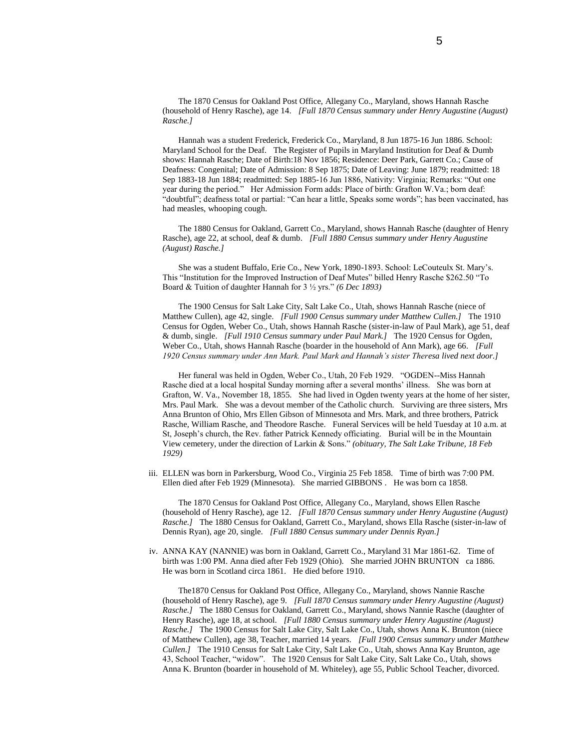The 1870 Census for Oakland Post Office, Allegany Co., Maryland, shows Hannah Rasche (household of Henry Rasche), age 14. *[Full 1870 Census summary under Henry Augustine (August) Rasche.]*

Hannah was a student Frederick, Frederick Co., Maryland, 8 Jun 1875-16 Jun 1886. School: Maryland School for the Deaf. The Register of Pupils in Maryland Institution for Deaf & Dumb shows: Hannah Rasche; Date of Birth:18 Nov 1856; Residence: Deer Park, Garrett Co.; Cause of Deafness: Congenital; Date of Admission: 8 Sep 1875; Date of Leaving: June 1879; readmitted: 18 Sep 1883-18 Jun 1884; readmitted: Sep 1885-16 Jun 1886, Nativity: Virginia; Remarks: "Out one year during the period." Her Admission Form adds: Place of birth: Grafton W.Va.; born deaf: "doubtful"; deafness total or partial: "Can hear a little, Speaks some words"; has been vaccinated, has had measles, whooping cough.

The 1880 Census for Oakland, Garrett Co., Maryland, shows Hannah Rasche (daughter of Henry Rasche), age 22, at school, deaf & dumb. *[Full 1880 Census summary under Henry Augustine (August) Rasche.]*

She was a student Buffalo, Erie Co., New York, 1890-1893. School: LeCouteulx St. Mary's. This "Institution for the Improved Instruction of Deaf Mutes" billed Henry Rasche \$262.50 "To Board & Tuition of daughter Hannah for 3 ½ yrs." *(6 Dec 1893)*

The 1900 Census for Salt Lake City, Salt Lake Co., Utah, shows Hannah Rasche (niece of Matthew Cullen), age 42, single. *[Full 1900 Census summary under Matthew Cullen.]* The 1910 Census for Ogden, Weber Co., Utah, shows Hannah Rasche (sister-in-law of Paul Mark), age 51, deaf & dumb, single. *[Full 1910 Census summary under Paul Mark.]* The 1920 Census for Ogden, Weber Co., Utah, shows Hannah Rasche (boarder in the household of Ann Mark), age 66. *[Full 1920 Census summary under Ann Mark. Paul Mark and Hannah's sister Theresa lived next door.]*

Her funeral was held in Ogden, Weber Co., Utah, 20 Feb 1929. "OGDEN--Miss Hannah Rasche died at a local hospital Sunday morning after a several months' illness. She was born at Grafton, W. Va., November 18, 1855. She had lived in Ogden twenty years at the home of her sister, Mrs. Paul Mark. She was a devout member of the Catholic church. Surviving are three sisters, Mrs Anna Brunton of Ohio, Mrs Ellen Gibson of Minnesota and Mrs. Mark, and three brothers, Patrick Rasche, William Rasche, and Theodore Rasche. Funeral Services will be held Tuesday at 10 a.m. at St, Joseph's church, the Rev. father Patrick Kennedy officiating. Burial will be in the Mountain View cemetery, under the direction of Larkin & Sons." *(obituary, The Salt Lake Tribune, 18 Feb 1929)*

 iii. ELLEN was born in Parkersburg, Wood Co., Virginia 25 Feb 1858. Time of birth was 7:00 PM. Ellen died after Feb 1929 (Minnesota). She married GIBBONS . He was born ca 1858.

The 1870 Census for Oakland Post Office, Allegany Co., Maryland, shows Ellen Rasche (household of Henry Rasche), age 12. *[Full 1870 Census summary under Henry Augustine (August) Rasche.]* The 1880 Census for Oakland, Garrett Co., Maryland, shows Ella Rasche (sister-in-law of Dennis Ryan), age 20, single. *[Full 1880 Census summary under Dennis Ryan.]*

 iv. ANNA KAY (NANNIE) was born in Oakland, Garrett Co., Maryland 31 Mar 1861-62. Time of birth was 1:00 PM. Anna died after Feb 1929 (Ohio). She married JOHN BRUNTON ca 1886. He was born in Scotland circa 1861. He died before 1910.

The1870 Census for Oakland Post Office, Allegany Co., Maryland, shows Nannie Rasche (household of Henry Rasche), age 9. *[Full 1870 Census summary under Henry Augustine (August) Rasche.]* The 1880 Census for Oakland, Garrett Co., Maryland, shows Nannie Rasche (daughter of Henry Rasche), age 18, at school. *[Full 1880 Census summary under Henry Augustine (August)*  Rasche.] The 1900 Census for Salt Lake City, Salt Lake Co., Utah, shows Anna K. Brunton (niece of Matthew Cullen), age 38, Teacher, married 14 years. *[Full 1900 Census summary under Matthew Cullen.]* The 1910 Census for Salt Lake City, Salt Lake Co., Utah, shows Anna Kay Brunton, age 43, School Teacher, "widow". The 1920 Census for Salt Lake City, Salt Lake Co., Utah, shows Anna K. Brunton (boarder in household of M. Whiteley), age 55, Public School Teacher, divorced.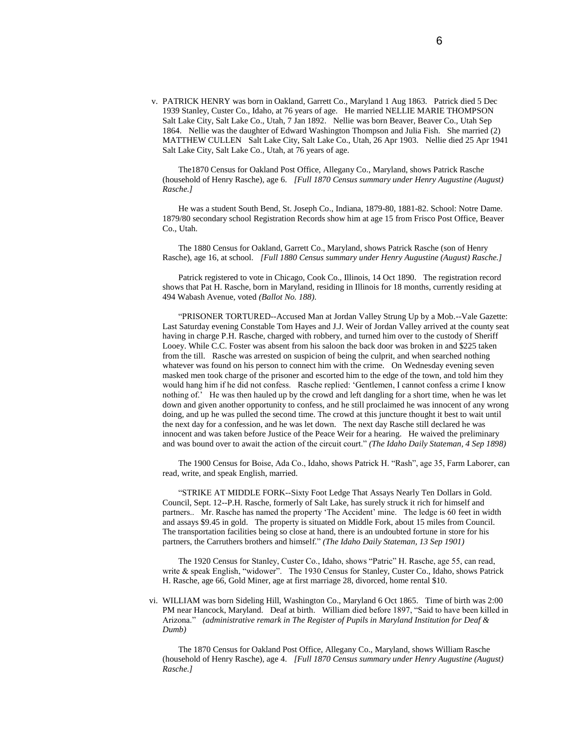v. PATRICK HENRY was born in Oakland, Garrett Co., Maryland 1 Aug 1863. Patrick died 5 Dec 1939 Stanley, Custer Co., Idaho, at 76 years of age. He married NELLIE MARIE THOMPSON Salt Lake City, Salt Lake Co., Utah, 7 Jan 1892. Nellie was born Beaver, Beaver Co., Utah Sep 1864. Nellie was the daughter of Edward Washington Thompson and Julia Fish. She married (2) MATTHEW CULLEN Salt Lake City, Salt Lake Co., Utah, 26 Apr 1903. Nellie died 25 Apr 1941 Salt Lake City, Salt Lake Co., Utah, at 76 years of age.

The1870 Census for Oakland Post Office, Allegany Co., Maryland, shows Patrick Rasche (household of Henry Rasche), age 6. *[Full 1870 Census summary under Henry Augustine (August) Rasche.]*

He was a student South Bend, St. Joseph Co., Indiana, 1879-80, 1881-82. School: Notre Dame. 1879/80 secondary school Registration Records show him at age 15 from Frisco Post Office, Beaver Co., Utah.

The 1880 Census for Oakland, Garrett Co., Maryland, shows Patrick Rasche (son of Henry Rasche), age 16, at school. *[Full 1880 Census summary under Henry Augustine (August) Rasche.]*

Patrick registered to vote in Chicago, Cook Co., Illinois, 14 Oct 1890. The registration record shows that Pat H. Rasche, born in Maryland, residing in Illinois for 18 months, currently residing at 494 Wabash Avenue, voted *(Ballot No. 188)*.

"PRISONER TORTURED--Accused Man at Jordan Valley Strung Up by a Mob.--Vale Gazette: Last Saturday evening Constable Tom Hayes and J.J. Weir of Jordan Valley arrived at the county seat having in charge P.H. Rasche, charged with robbery, and turned him over to the custody of Sheriff Looey. While C.C. Foster was absent from his saloon the back door was broken in and \$225 taken from the till. Rasche was arrested on suspicion of being the culprit, and when searched nothing whatever was found on his person to connect him with the crime. On Wednesday evening seven masked men took charge of the prisoner and escorted him to the edge of the town, and told him they would hang him if he did not confess. Rasche replied: 'Gentlemen, I cannot confess a crime I know nothing of.' He was then hauled up by the crowd and left dangling for a short time, when he was let down and given another opportunity to confess, and he still proclaimed he was innocent of any wrong doing, and up he was pulled the second time. The crowd at this juncture thought it best to wait until the next day for a confession, and he was let down. The next day Rasche still declared he was innocent and was taken before Justice of the Peace Weir for a hearing. He waived the preliminary and was bound over to await the action of the circuit court." *(The Idaho Daily Stateman, 4 Sep 1898)*

The 1900 Census for Boise, Ada Co., Idaho, shows Patrick H. "Rash", age 35, Farm Laborer, can read, write, and speak English, married.

"STRIKE AT MIDDLE FORK--Sixty Foot Ledge That Assays Nearly Ten Dollars in Gold. Council, Sept. 12--P.H. Rasche, formerly of Salt Lake, has surely struck it rich for himself and partners.. Mr. Rasche has named the property 'The Accident' mine. The ledge is 60 feet in width and assays \$9.45 in gold. The property is situated on Middle Fork, about 15 miles from Council. The transportation facilities being so close at hand, there is an undoubted fortune in store for his partners, the Carruthers brothers and himself." *(The Idaho Daily Stateman, 13 Sep 1901)*

The 1920 Census for Stanley, Custer Co., Idaho, shows "Patric" H. Rasche, age 55, can read, write & speak English, "widower". The 1930 Census for Stanley, Custer Co., Idaho, shows Patrick H. Rasche, age 66, Gold Miner, age at first marriage 28, divorced, home rental \$10.

 vi. WILLIAM was born Sideling Hill, Washington Co., Maryland 6 Oct 1865. Time of birth was 2:00 PM near Hancock, Maryland. Deaf at birth. William died before 1897, "Said to have been killed in Arizona." *(administrative remark in The Register of Pupils in Maryland Institution for Deaf & Dumb)*

The 1870 Census for Oakland Post Office, Allegany Co., Maryland, shows William Rasche (household of Henry Rasche), age 4. *[Full 1870 Census summary under Henry Augustine (August) Rasche.]*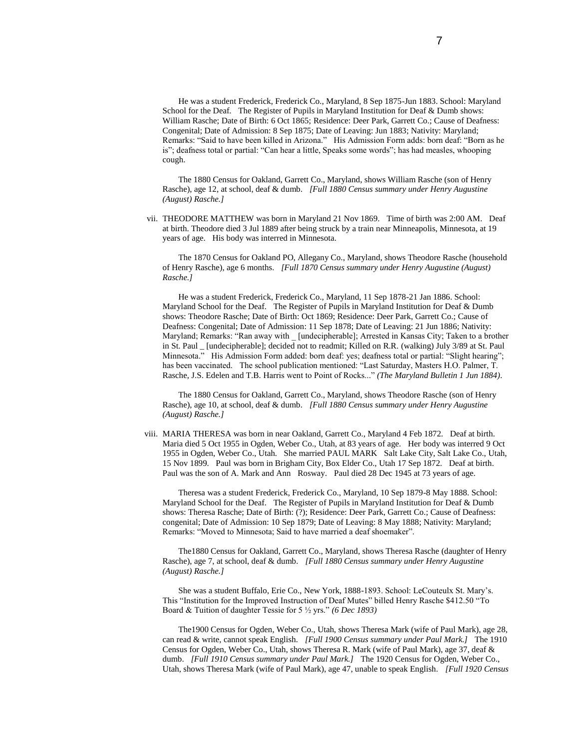He was a student Frederick, Frederick Co., Maryland, 8 Sep 1875-Jun 1883. School: Maryland School for the Deaf. The Register of Pupils in Maryland Institution for Deaf & Dumb shows: William Rasche; Date of Birth: 6 Oct 1865; Residence: Deer Park, Garrett Co.; Cause of Deafness: Congenital; Date of Admission: 8 Sep 1875; Date of Leaving: Jun 1883; Nativity: Maryland; Remarks: "Said to have been killed in Arizona." His Admission Form adds: born deaf: "Born as he is"; deafness total or partial: "Can hear a little, Speaks some words"; has had measles, whooping cough.

The 1880 Census for Oakland, Garrett Co., Maryland, shows William Rasche (son of Henry Rasche), age 12, at school, deaf & dumb. *[Full 1880 Census summary under Henry Augustine (August) Rasche.]*

 vii. THEODORE MATTHEW was born in Maryland 21 Nov 1869. Time of birth was 2:00 AM. Deaf at birth. Theodore died 3 Jul 1889 after being struck by a train near Minneapolis, Minnesota, at 19 years of age. His body was interred in Minnesota.

The 1870 Census for Oakland PO, Allegany Co., Maryland, shows Theodore Rasche (household of Henry Rasche), age 6 months. *[Full 1870 Census summary under Henry Augustine (August) Rasche.]*

He was a student Frederick, Frederick Co., Maryland, 11 Sep 1878-21 Jan 1886. School: Maryland School for the Deaf. The Register of Pupils in Maryland Institution for Deaf & Dumb shows: Theodore Rasche; Date of Birth: Oct 1869; Residence: Deer Park, Garrett Co.; Cause of Deafness: Congenital; Date of Admission: 11 Sep 1878; Date of Leaving: 21 Jun 1886; Nativity: Maryland; Remarks: "Ran away with [undecipherable]; Arrested in Kansas City; Taken to a brother in St. Paul \_ [undecipherable]; decided not to readmit; Killed on R.R. (walking) July 3/89 at St. Paul Minnesota." His Admission Form added: born deaf: yes; deafness total or partial: "Slight hearing"; has been vaccinated. The school publication mentioned: "Last Saturday, Masters H.O. Palmer, T. Rasche, J.S. Edelen and T.B. Harris went to Point of Rocks..." *(The Maryland Bulletin 1 Jun 1884)*.

The 1880 Census for Oakland, Garrett Co., Maryland, shows Theodore Rasche (son of Henry Rasche), age 10, at school, deaf & dumb. *[Full 1880 Census summary under Henry Augustine (August) Rasche.]*

 viii. MARIA THERESA was born in near Oakland, Garrett Co., Maryland 4 Feb 1872. Deaf at birth. Maria died 5 Oct 1955 in Ogden, Weber Co., Utah, at 83 years of age. Her body was interred 9 Oct 1955 in Ogden, Weber Co., Utah. She married PAUL MARK Salt Lake City, Salt Lake Co., Utah, 15 Nov 1899. Paul was born in Brigham City, Box Elder Co., Utah 17 Sep 1872. Deaf at birth. Paul was the son of A. Mark and Ann Rosway. Paul died 28 Dec 1945 at 73 years of age.

Theresa was a student Frederick, Frederick Co., Maryland, 10 Sep 1879-8 May 1888. School: Maryland School for the Deaf. The Register of Pupils in Maryland Institution for Deaf & Dumb shows: Theresa Rasche; Date of Birth: (?); Residence: Deer Park, Garrett Co.; Cause of Deafness: congenital; Date of Admission: 10 Sep 1879; Date of Leaving: 8 May 1888; Nativity: Maryland; Remarks: "Moved to Minnesota; Said to have married a deaf shoemaker".

The1880 Census for Oakland, Garrett Co., Maryland, shows Theresa Rasche (daughter of Henry Rasche), age 7, at school, deaf & dumb. *[Full 1880 Census summary under Henry Augustine (August) Rasche.]*

She was a student Buffalo, Erie Co., New York, 1888-1893. School: LeCouteulx St. Mary's. This "Institution for the Improved Instruction of Deaf Mutes" billed Henry Rasche \$412.50 "To Board & Tuition of daughter Tessie for 5 ½ yrs." *(6 Dec 1893)*

The1900 Census for Ogden, Weber Co., Utah, shows Theresa Mark (wife of Paul Mark), age 28, can read & write, cannot speak English. *[Full 1900 Census summary under Paul Mark.]* The 1910 Census for Ogden, Weber Co., Utah, shows Theresa R. Mark (wife of Paul Mark), age 37, deaf & dumb. *[Full 1910 Census summary under Paul Mark.]* The 1920 Census for Ogden, Weber Co., Utah, shows Theresa Mark (wife of Paul Mark), age 47, unable to speak English. *[Full 1920 Census*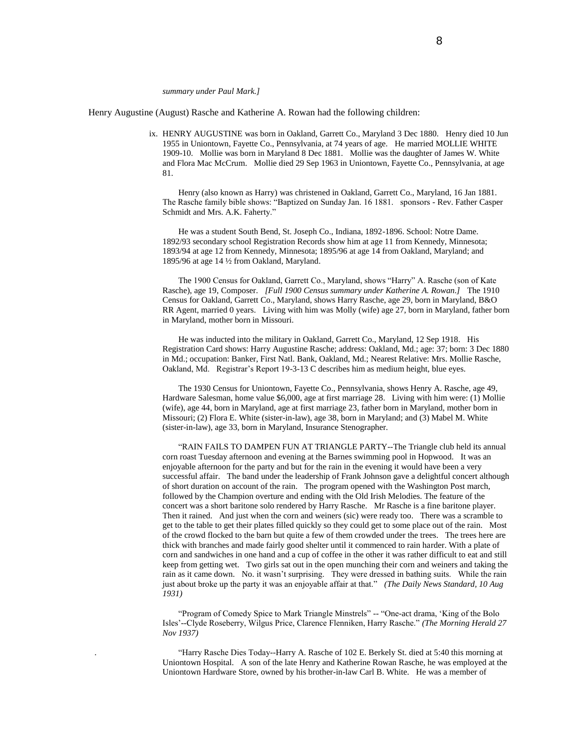#### *summary under Paul Mark.]*

Henry Augustine (August) Rasche and Katherine A. Rowan had the following children:

 ix. HENRY AUGUSTINE was born in Oakland, Garrett Co., Maryland 3 Dec 1880. Henry died 10 Jun 1955 in Uniontown, Fayette Co., Pennsylvania, at 74 years of age. He married MOLLIE WHITE 1909-10. Mollie was born in Maryland 8 Dec 1881. Mollie was the daughter of James W. White and Flora Mac McCrum. Mollie died 29 Sep 1963 in Uniontown, Fayette Co., Pennsylvania, at age 81.

Henry (also known as Harry) was christened in Oakland, Garrett Co., Maryland, 16 Jan 1881. The Rasche family bible shows: "Baptized on Sunday Jan. 16 1881. sponsors - Rev. Father Casper Schmidt and Mrs. A.K. Faherty."

He was a student South Bend, St. Joseph Co., Indiana, 1892-1896. School: Notre Dame. 1892/93 secondary school Registration Records show him at age 11 from Kennedy, Minnesota; 1893/94 at age 12 from Kennedy, Minnesota; 1895/96 at age 14 from Oakland, Maryland; and 1895/96 at age 14 ½ from Oakland, Maryland.

The 1900 Census for Oakland, Garrett Co., Maryland, shows "Harry" A. Rasche (son of Kate Rasche), age 19, Composer. *[Full 1900 Census summary under Katherine A. Rowan.]* The 1910 Census for Oakland, Garrett Co., Maryland, shows Harry Rasche, age 29, born in Maryland, B&O RR Agent, married 0 years. Living with him was Molly (wife) age 27, born in Maryland, father born in Maryland, mother born in Missouri.

He was inducted into the military in Oakland, Garrett Co., Maryland, 12 Sep 1918. His Registration Card shows: Harry Augustine Rasche; address: Oakland, Md.; age: 37; born: 3 Dec 1880 in Md.; occupation: Banker, First Natl. Bank, Oakland, Md.; Nearest Relative: Mrs. Mollie Rasche, Oakland, Md. Registrar's Report 19-3-13 C describes him as medium height, blue eyes.

The 1930 Census for Uniontown, Fayette Co., Pennsylvania, shows Henry A. Rasche, age 49, Hardware Salesman, home value \$6,000, age at first marriage 28. Living with him were: (1) Mollie (wife), age 44, born in Maryland, age at first marriage 23, father born in Maryland, mother born in Missouri; (2) Flora E. White (sister-in-law), age 38, born in Maryland; and (3) Mabel M. White (sister-in-law), age 33, born in Maryland, Insurance Stenographer.

"RAIN FAILS TO DAMPEN FUN AT TRIANGLE PARTY--The Triangle club held its annual corn roast Tuesday afternoon and evening at the Barnes swimming pool in Hopwood. It was an enjoyable afternoon for the party and but for the rain in the evening it would have been a very successful affair. The band under the leadership of Frank Johnson gave a delightful concert although of short duration on account of the rain. The program opened with the Washington Post march, followed by the Champion overture and ending with the Old Irish Melodies. The feature of the concert was a short baritone solo rendered by Harry Rasche. Mr Rasche is a fine baritone player. Then it rained. And just when the corn and weiners (sic) were ready too. There was a scramble to get to the table to get their plates filled quickly so they could get to some place out of the rain. Most of the crowd flocked to the barn but quite a few of them crowded under the trees. The trees here are thick with branches and made fairly good shelter until it commenced to rain harder. With a plate of corn and sandwiches in one hand and a cup of coffee in the other it was rather difficult to eat and still keep from getting wet. Two girls sat out in the open munching their corn and weiners and taking the rain as it came down. No. it wasn't surprising. They were dressed in bathing suits. While the rain just about broke up the party it was an enjoyable affair at that." *(The Daily News Standard, 10 Aug 1931)*

"Program of Comedy Spice to Mark Triangle Minstrels" -- "One-act drama, 'King of the Bolo Isles'--Clyde Roseberry, Wilgus Price, Clarence Flenniken, Harry Rasche." *(The Morning Herald 27 Nov 1937)*

. "Harry Rasche Dies Today--Harry A. Rasche of 102 E. Berkely St. died at 5:40 this morning at Uniontown Hospital. A son of the late Henry and Katherine Rowan Rasche, he was employed at the Uniontown Hardware Store, owned by his brother-in-law Carl B. White. He was a member of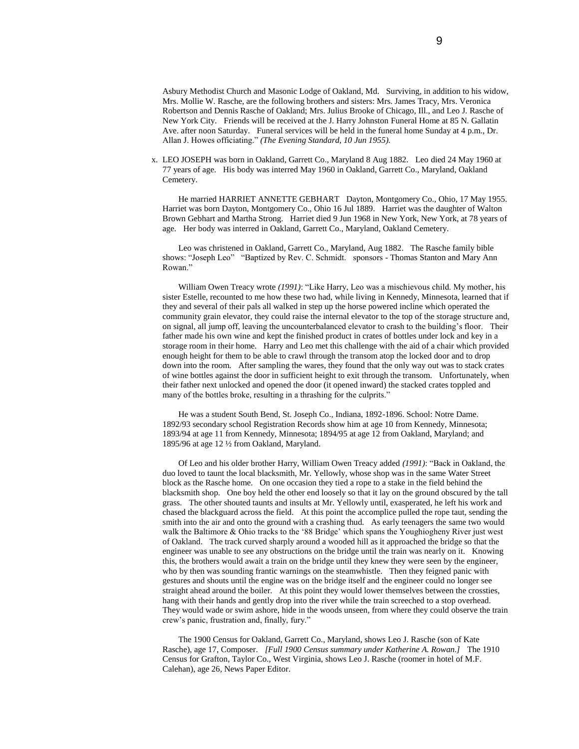Asbury Methodist Church and Masonic Lodge of Oakland, Md. Surviving, in addition to his widow, Mrs. Mollie W. Rasche, are the following brothers and sisters: Mrs. James Tracy, Mrs. Veronica Robertson and Dennis Rasche of Oakland; Mrs. Julius Brooke of Chicago, Ill., and Leo J. Rasche of New York City. Friends will be received at the J. Harry Johnston Funeral Home at 85 N. Gallatin Ave. after noon Saturday. Funeral services will be held in the funeral home Sunday at 4 p.m., Dr. Allan J. Howes officiating." *(The Evening Standard, 10 Jun 1955).*

 x. LEO JOSEPH was born in Oakland, Garrett Co., Maryland 8 Aug 1882. Leo died 24 May 1960 at 77 years of age. His body was interred May 1960 in Oakland, Garrett Co., Maryland, Oakland Cemetery.

He married HARRIET ANNETTE GEBHART Dayton, Montgomery Co., Ohio, 17 May 1955. Harriet was born Dayton, Montgomery Co., Ohio 16 Jul 1889. Harriet was the daughter of Walton Brown Gebhart and Martha Strong. Harriet died 9 Jun 1968 in New York, New York, at 78 years of age. Her body was interred in Oakland, Garrett Co., Maryland, Oakland Cemetery.

Leo was christened in Oakland, Garrett Co., Maryland, Aug 1882. The Rasche family bible shows: "Joseph Leo" "Baptized by Rev. C. Schmidt. sponsors - Thomas Stanton and Mary Ann Rowan."

William Owen Treacy wrote *(1991)*: "Like Harry, Leo was a mischievous child. My mother, his sister Estelle, recounted to me how these two had, while living in Kennedy, Minnesota, learned that if they and several of their pals all walked in step up the horse powered incline which operated the community grain elevator, they could raise the internal elevator to the top of the storage structure and, on signal, all jump off, leaving the uncounterbalanced elevator to crash to the building's floor. Their father made his own wine and kept the finished product in crates of bottles under lock and key in a storage room in their home. Harry and Leo met this challenge with the aid of a chair which provided enough height for them to be able to crawl through the transom atop the locked door and to drop down into the room. After sampling the wares, they found that the only way out was to stack crates of wine bottles against the door in sufficient height to exit through the transom. Unfortunately, when their father next unlocked and opened the door (it opened inward) the stacked crates toppled and many of the bottles broke, resulting in a thrashing for the culprits."

He was a student South Bend, St. Joseph Co., Indiana, 1892-1896. School: Notre Dame. 1892/93 secondary school Registration Records show him at age 10 from Kennedy, Minnesota; 1893/94 at age 11 from Kennedy, Minnesota; 1894/95 at age 12 from Oakland, Maryland; and 1895/96 at age 12 ½ from Oakland, Maryland.

Of Leo and his older brother Harry, William Owen Treacy added *(1991)*: "Back in Oakland, the duo loved to taunt the local blacksmith, Mr. Yellowly, whose shop was in the same Water Street block as the Rasche home. On one occasion they tied a rope to a stake in the field behind the blacksmith shop. One boy held the other end loosely so that it lay on the ground obscured by the tall grass. The other shouted taunts and insults at Mr. Yellowly until, exasperated, he left his work and chased the blackguard across the field. At this point the accomplice pulled the rope taut, sending the smith into the air and onto the ground with a crashing thud. As early teenagers the same two would walk the Baltimore & Ohio tracks to the '88 Bridge' which spans the Youghiogheny River just west of Oakland. The track curved sharply around a wooded hill as it approached the bridge so that the engineer was unable to see any obstructions on the bridge until the train was nearly on it. Knowing this, the brothers would await a train on the bridge until they knew they were seen by the engineer, who by then was sounding frantic warnings on the steamwhistle. Then they feigned panic with gestures and shouts until the engine was on the bridge itself and the engineer could no longer see straight ahead around the boiler. At this point they would lower themselves between the crossties, hang with their hands and gently drop into the river while the train screeched to a stop overhead. They would wade or swim ashore, hide in the woods unseen, from where they could observe the train crew's panic, frustration and, finally, fury."

The 1900 Census for Oakland, Garrett Co., Maryland, shows Leo J. Rasche (son of Kate Rasche), age 17, Composer. *[Full 1900 Census summary under Katherine A. Rowan.]* The 1910 Census for Grafton, Taylor Co., West Virginia, shows Leo J. Rasche (roomer in hotel of M.F. Calehan), age 26, News Paper Editor.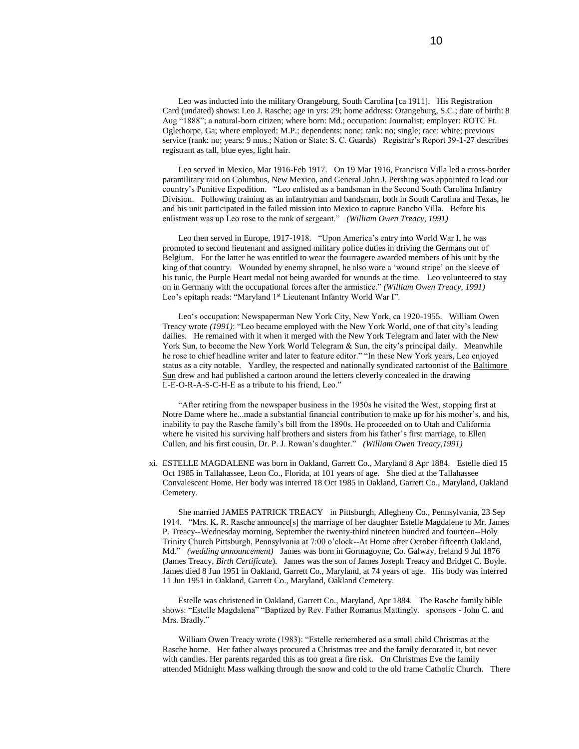Leo was inducted into the military Orangeburg, South Carolina [ca 1911]. His Registration Card (undated) shows: Leo J. Rasche; age in yrs: 29; home address: Orangeburg, S.C.; date of birth: 8 Aug "1888"; a natural-born citizen; where born: Md.; occupation: Journalist; employer: ROTC Ft. Oglethorpe, Ga; where employed: M.P.; dependents: none; rank: no; single; race: white; previous service (rank: no; years: 9 mos.; Nation or State: S. C. Guards) Registrar's Report 39-1-27 describes registrant as tall, blue eyes, light hair.

Leo served in Mexico, Mar 1916-Feb 1917. On 19 Mar 1916, Francisco Villa led a cross-border paramilitary raid on Columbus, New Mexico, and General John J. Pershing was appointed to lead our country's Punitive Expedition. "Leo enlisted as a bandsman in the Second South Carolina Infantry Division. Following training as an infantryman and bandsman, both in South Carolina and Texas, he and his unit participated in the failed mission into Mexico to capture Pancho Villa. Before his enlistment was up Leo rose to the rank of sergeant." *(William Owen Treacy, 1991)*

Leo then served in Europe, 1917-1918. "Upon America's entry into World War I, he was promoted to second lieutenant and assigned military police duties in driving the Germans out of Belgium. For the latter he was entitled to wear the fourragere awarded members of his unit by the king of that country. Wounded by enemy shrapnel, he also wore a 'wound stripe' on the sleeve of his tunic, the Purple Heart medal not being awarded for wounds at the time. Leo volunteered to stay on in Germany with the occupational forces after the armistice." *(William Owen Treacy, 1991)* Leo's epitaph reads: "Maryland 1<sup>st</sup> Lieutenant Infantry World War I".

Leo's occupation: Newspaperman New York City, New York, ca 1920-1955. William Owen Treacy wrote *(1991)*: "Leo became employed with the New York World, one of that city's leading dailies. He remained with it when it merged with the New York Telegram and later with the New York Sun, to become the New York World Telegram & Sun, the city's principal daily. Meanwhile he rose to chief headline writer and later to feature editor." "In these New York years, Leo enjoyed status as a city notable. Yardley, the respected and nationally syndicated cartoonist of the Baltimore Sun drew and had published a cartoon around the letters cleverly concealed in the drawing L-E-O-R-A-S-C-H-E as a tribute to his friend, Leo."

"After retiring from the newspaper business in the 1950s he visited the West, stopping first at Notre Dame where he...made a substantial financial contribution to make up for his mother's, and his, inability to pay the Rasche family's bill from the 1890s. He proceeded on to Utah and California where he visited his surviving half brothers and sisters from his father's first marriage, to Ellen Cullen, and his first cousin, Dr. P. J. Rowan's daughter." *(William Owen Treacy,1991)*

 xi. ESTELLE MAGDALENE was born in Oakland, Garrett Co., Maryland 8 Apr 1884. Estelle died 15 Oct 1985 in Tallahassee, Leon Co., Florida, at 101 years of age. She died at the Tallahassee Convalescent Home. Her body was interred 18 Oct 1985 in Oakland, Garrett Co., Maryland, Oakland Cemetery.

She married JAMES PATRICK TREACY in Pittsburgh, Allegheny Co., Pennsylvania, 23 Sep 1914. "Mrs. K. R. Rasche announce[s] the marriage of her daughter Estelle Magdalene to Mr. James P. Treacy--Wednesday morning, September the twenty-third nineteen hundred and fourteen--Holy Trinity Church Pittsburgh, Pennsylvania at 7:00 o'clock--At Home after October fifteenth Oakland, Md." *(wedding announcement)* James was born in Gortnagoyne, Co. Galway, Ireland 9 Jul 1876 (James Treacy, *Birth Certificate*). James was the son of James Joseph Treacy and Bridget C. Boyle. James died 8 Jun 1951 in Oakland, Garrett Co., Maryland, at 74 years of age. His body was interred 11 Jun 1951 in Oakland, Garrett Co., Maryland, Oakland Cemetery.

 Estelle was christened in Oakland, Garrett Co., Maryland, Apr 1884. The Rasche family bible shows: "Estelle Magdalena" "Baptized by Rev. Father Romanus Mattingly. sponsors - John C. and Mrs. Bradly."

William Owen Treacy wrote (1983): "Estelle remembered as a small child Christmas at the Rasche home. Her father always procured a Christmas tree and the family decorated it, but never with candles. Her parents regarded this as too great a fire risk. On Christmas Eve the family attended Midnight Mass walking through the snow and cold to the old frame Catholic Church. There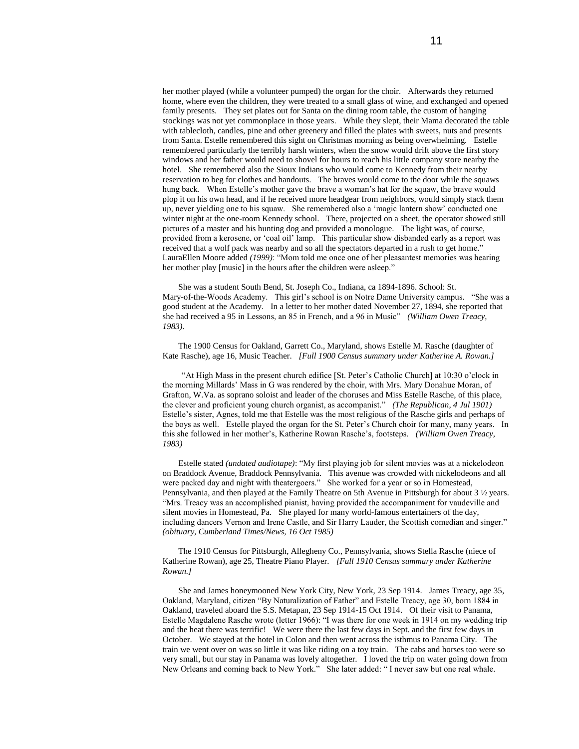her mother played (while a volunteer pumped) the organ for the choir. Afterwards they returned home, where even the children, they were treated to a small glass of wine, and exchanged and opened family presents. They set plates out for Santa on the dining room table, the custom of hanging stockings was not yet commonplace in those years. While they slept, their Mama decorated the table with tablecloth, candles, pine and other greenery and filled the plates with sweets, nuts and presents from Santa. Estelle remembered this sight on Christmas morning as being overwhelming. Estelle remembered particularly the terribly harsh winters, when the snow would drift above the first story windows and her father would need to shovel for hours to reach his little company store nearby the hotel. She remembered also the Sioux Indians who would come to Kennedy from their nearby reservation to beg for clothes and handouts. The braves would come to the door while the squaws hung back. When Estelle's mother gave the brave a woman's hat for the squaw, the brave would plop it on his own head, and if he received more headgear from neighbors, would simply stack them up, never yielding one to his squaw. She remembered also a 'magic lantern show' conducted one winter night at the one-room Kennedy school. There, projected on a sheet, the operator showed still pictures of a master and his hunting dog and provided a monologue. The light was, of course, provided from a kerosene, or 'coal oil' lamp. This particular show disbanded early as a report was received that a wolf pack was nearby and so all the spectators departed in a rush to get home." LauraEllen Moore added *(1999)*: "Mom told me once one of her pleasantest memories was hearing her mother play [music] in the hours after the children were asleep."

She was a student South Bend, St. Joseph Co., Indiana, ca 1894-1896. School: St. Mary-of-the-Woods Academy. This girl's school is on Notre Dame University campus. "She was a good student at the Academy. In a letter to her mother dated November 27, 1894, she reported that she had received a 95 in Lessons, an 85 in French, and a 96 in Music" *(William Owen Treacy, 1983)*.

The 1900 Census for Oakland, Garrett Co., Maryland, shows Estelle M. Rasche (daughter of Kate Rasche), age 16, Music Teacher. *[Full 1900 Census summary under Katherine A. Rowan.]*

"At High Mass in the present church edifice [St. Peter's Catholic Church] at 10:30 o'clock in the morning Millards' Mass in G was rendered by the choir, with Mrs. Mary Donahue Moran, of Grafton, W.Va. as soprano soloist and leader of the choruses and Miss Estelle Rasche, of this place, the clever and proficient young church organist, as accompanist." *(The Republican, 4 Jul 1901)*  Estelle's sister, Agnes, told me that Estelle was the most religious of the Rasche girls and perhaps of the boys as well. Estelle played the organ for the St. Peter's Church choir for many, many years. In this she followed in her mother's, Katherine Rowan Rasche's, footsteps. *(William Owen Treacy, 1983)*

Estelle stated *(undated audiotape)*: "My first playing job for silent movies was at a nickelodeon on Braddock Avenue, Braddock Pennsylvania. This avenue was crowded with nickelodeons and all were packed day and night with theatergoers." She worked for a year or so in Homestead, Pennsylvania, and then played at the Family Theatre on 5th Avenue in Pittsburgh for about 3 ½ years. "Mrs. Treacy was an accomplished pianist, having provided the accompaniment for vaudeville and silent movies in Homestead, Pa. She played for many world-famous entertainers of the day, including dancers Vernon and Irene Castle, and Sir Harry Lauder, the Scottish comedian and singer." *(obituary, Cumberland Times/News, 16 Oct 1985)*

The 1910 Census for Pittsburgh, Allegheny Co., Pennsylvania, shows Stella Rasche (niece of Katherine Rowan), age 25, Theatre Piano Player. *[Full 1910 Census summary under Katherine Rowan.]*

She and James honeymooned New York City, New York, 23 Sep 1914. James Treacy, age 35, Oakland, Maryland, citizen "By Naturalization of Father" and Estelle Treacy, age 30, born 1884 in Oakland, traveled aboard the S.S. Metapan, 23 Sep 1914-15 Oct 1914. Of their visit to Panama, Estelle Magdalene Rasche wrote (letter 1966): "I was there for one week in 1914 on my wedding trip and the heat there was terrific! We were there the last few days in Sept. and the first few days in October. We stayed at the hotel in Colon and then went across the isthmus to Panama City. The train we went over on was so little it was like riding on a toy train. The cabs and horses too were so very small, but our stay in Panama was lovely altogether. I loved the trip on water going down from New Orleans and coming back to New York." She later added: " I never saw but one real whale.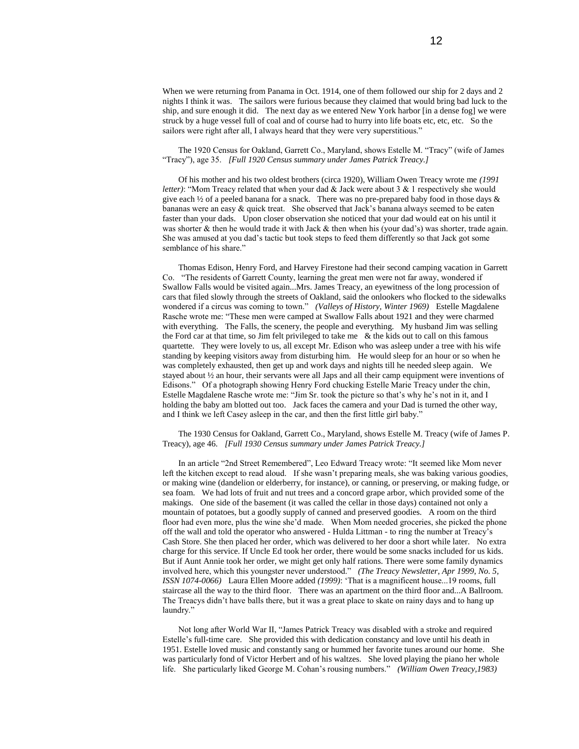When we were returning from Panama in Oct. 1914, one of them followed our ship for 2 days and 2 nights I think it was. The sailors were furious because they claimed that would bring bad luck to the ship, and sure enough it did. The next day as we entered New York harbor [in a dense fog] we were struck by a huge vessel full of coal and of course had to hurry into life boats etc, etc, etc. So the sailors were right after all, I always heard that they were very superstitious."

### The 1920 Census for Oakland, Garrett Co., Maryland, shows Estelle M. "Tracy" (wife of James "Tracy"), age 35. *[Full 1920 Census summary under James Patrick Treacy.]*

Of his mother and his two oldest brothers (circa 1920), William Owen Treacy wrote me *(1991 letter)*: "Mom Treacy related that when your dad & Jack were about 3 & 1 respectively she would give each  $\frac{1}{2}$  of a peeled banana for a snack. There was no pre-prepared baby food in those days & bananas were an easy & quick treat. She observed that Jack's banana always seemed to be eaten faster than your dads. Upon closer observation she noticed that your dad would eat on his until it was shorter & then he would trade it with Jack & then when his (your dad's) was shorter, trade again. She was amused at you dad's tactic but took steps to feed them differently so that Jack got some semblance of his share."

Thomas Edison, Henry Ford, and Harvey Firestone had their second camping vacation in Garrett Co. "The residents of Garrett County, learning the great men were not far away, wondered if Swallow Falls would be visited again...Mrs. James Treacy, an eyewitness of the long procession of cars that filed slowly through the streets of Oakland, said the onlookers who flocked to the sidewalks wondered if a circus was coming to town." *(Valleys of History, Winter 1969)* Estelle Magdalene Rasche wrote me: "These men were camped at Swallow Falls about 1921 and they were charmed with everything. The Falls, the scenery, the people and everything. My husband Jim was selling the Ford car at that time, so Jim felt privileged to take me & the kids out to call on this famous quartette. They were lovely to us, all except Mr. Edison who was asleep under a tree with his wife standing by keeping visitors away from disturbing him. He would sleep for an hour or so when he was completely exhausted, then get up and work days and nights till he needed sleep again. We stayed about ½ an hour, their servants were all Japs and all their camp equipment were inventions of Edisons." Of a photograph showing Henry Ford chucking Estelle Marie Treacy under the chin, Estelle Magdalene Rasche wrote me: "Jim Sr. took the picture so that's why he's not in it, and I holding the baby am blotted out too. Jack faces the camera and your Dad is turned the other way, and I think we left Casey asleep in the car, and then the first little girl baby."

#### The 1930 Census for Oakland, Garrett Co., Maryland, shows Estelle M. Treacy (wife of James P. Treacy), age 46. *[Full 1930 Census summary under James Patrick Treacy.]*

In an article "2nd Street Remembered", Leo Edward Treacy wrote: "It seemed like Mom never left the kitchen except to read aloud. If she wasn't preparing meals, she was baking various goodies, or making wine (dandelion or elderberry, for instance), or canning, or preserving, or making fudge, or sea foam. We had lots of fruit and nut trees and a concord grape arbor, which provided some of the makings. One side of the basement (it was called the cellar in those days) contained not only a mountain of potatoes, but a goodly supply of canned and preserved goodies. A room on the third floor had even more, plus the wine she'd made. When Mom needed groceries, she picked the phone off the wall and told the operator who answered - Hulda Littman - to ring the number at Treacy's Cash Store. She then placed her order, which was delivered to her door a short while later. No extra charge for this service. If Uncle Ed took her order, there would be some snacks included for us kids. But if Aunt Annie took her order, we might get only half rations. There were some family dynamics involved here, which this youngster never understood." *(The Treacy Newsletter, Apr 1999, No. 5, ISSN 1074-0066)* Laura Ellen Moore added *(1999)*: 'That is a magnificent house...19 rooms, full staircase all the way to the third floor. There was an apartment on the third floor and...A Ballroom. The Treacys didn't have balls there, but it was a great place to skate on rainy days and to hang up laundry."

Not long after World War II, "James Patrick Treacy was disabled with a stroke and required Estelle's full-time care. She provided this with dedication constancy and love until his death in 1951. Estelle loved music and constantly sang or hummed her favorite tunes around our home. She was particularly fond of Victor Herbert and of his waltzes. She loved playing the piano her whole life. She particularly liked George M. Cohan's rousing numbers." *(William Owen Treacy,1983)*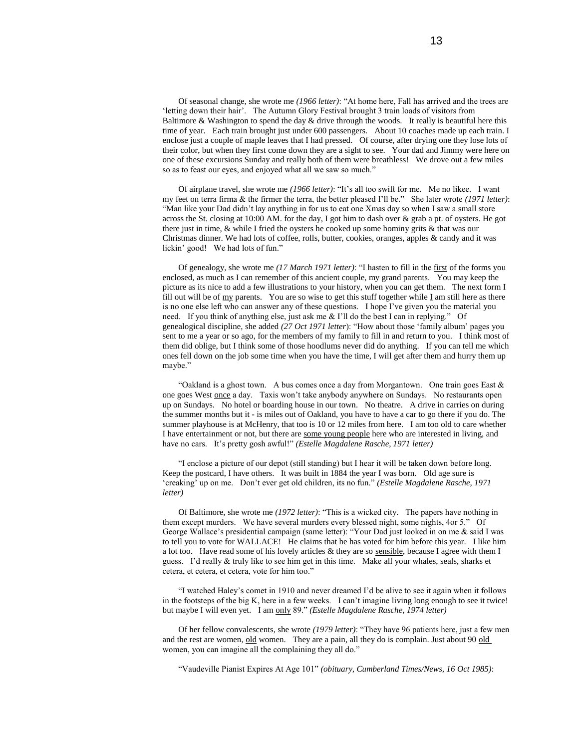Of seasonal change, she wrote me *(1966 letter)*: "At home here, Fall has arrived and the trees are 'letting down their hair'. The Autumn Glory Festival brought 3 train loads of visitors from Baltimore & Washington to spend the day  $\&$  drive through the woods. It really is beautiful here this time of year. Each train brought just under 600 passengers. About 10 coaches made up each train. I enclose just a couple of maple leaves that I had pressed. Of course, after drying one they lose lots of their color, but when they first come down they are a sight to see. Your dad and Jimmy were here on one of these excursions Sunday and really both of them were breathless! We drove out a few miles so as to feast our eyes, and enjoyed what all we saw so much."

Of airplane travel, she wrote me *(1966 letter)*: "It's all too swift for me. Me no likee. I want my feet on terra firma & the firmer the terra, the better pleased I'll be." She later wrote *(1971 letter)*: "Man like your Dad didn't lay anything in for us to eat one Xmas day so when I saw a small store across the St. closing at 10:00 AM. for the day, I got him to dash over & grab a pt. of oysters. He got there just in time, & while I fried the oysters he cooked up some hominy grits & that was our Christmas dinner. We had lots of coffee, rolls, butter, cookies, oranges, apples & candy and it was lickin' good! We had lots of fun."

Of genealogy, she wrote me *(17 March 1971 letter)*: "I hasten to fill in the first of the forms you enclosed, as much as I can remember of this ancient couple, my grand parents. You may keep the picture as its nice to add a few illustrations to your history, when you can get them. The next form I fill out will be of  $\frac{my}{my}$  parents. You are so wise to get this stuff together while I am still here as there is no one else left who can answer any of these questions. I hope I've given you the material you need. If you think of anything else, just ask me & I'll do the best I can in replying." Of genealogical discipline, she added *(27 Oct 1971 letter*): "How about those 'family album' pages you sent to me a year or so ago, for the members of my family to fill in and return to you. I think most of them did oblige, but I think some of those hoodlums never did do anything. If you can tell me which ones fell down on the job some time when you have the time, I will get after them and hurry them up maybe."

"Oakland is a ghost town. A bus comes once a day from Morgantown. One train goes East  $\&$ one goes West once a day. Taxis won't take anybody anywhere on Sundays. No restaurants open up on Sundays. No hotel or boarding house in our town. No theatre. A drive in carries on during the summer months but it - is miles out of Oakland, you have to have a car to go there if you do. The summer playhouse is at McHenry, that too is 10 or 12 miles from here. I am too old to care whether I have entertainment or not, but there are some young people here who are interested in living, and have no cars. It's pretty gosh awful!" *(Estelle Magdalene Rasche, 1971 letter)*

"I enclose a picture of our depot (still standing) but I hear it will be taken down before long. Keep the postcard, I have others. It was built in 1884 the year I was born. Old age sure is 'creaking' up on me. Don't ever get old children, its no fun." *(Estelle Magdalene Rasche, 1971 letter)*

Of Baltimore, she wrote me *(1972 letter)*: "This is a wicked city. The papers have nothing in them except murders. We have several murders every blessed night, some nights, 4or 5." Of George Wallace's presidential campaign (same letter): "Your Dad just looked in on me & said I was to tell you to vote for WALLACE! He claims that he has voted for him before this year. I like him a lot too. Have read some of his lovely articles  $\&$  they are so sensible, because I agree with them I guess. I'd really  $&$  truly like to see him get in this time. Make all your whales, seals, sharks et cetera, et cetera, et cetera, vote for him too."

"I watched Haley's comet in 1910 and never dreamed I'd be alive to see it again when it follows in the footsteps of the big K, here in a few weeks. I can't imagine living long enough to see it twice! but maybe I will even yet. I am only 89." *(Estelle Magdalene Rasche, 1974 letter)*

Of her fellow convalescents, she wrote *(1979 letter)*: "They have 96 patients here, just a few men and the rest are women, old women. They are a pain, all they do is complain. Just about 90 old women, you can imagine all the complaining they all do."

"Vaudeville Pianist Expires At Age 101" *(obituary, Cumberland Times/News, 16 Oct 1985)*: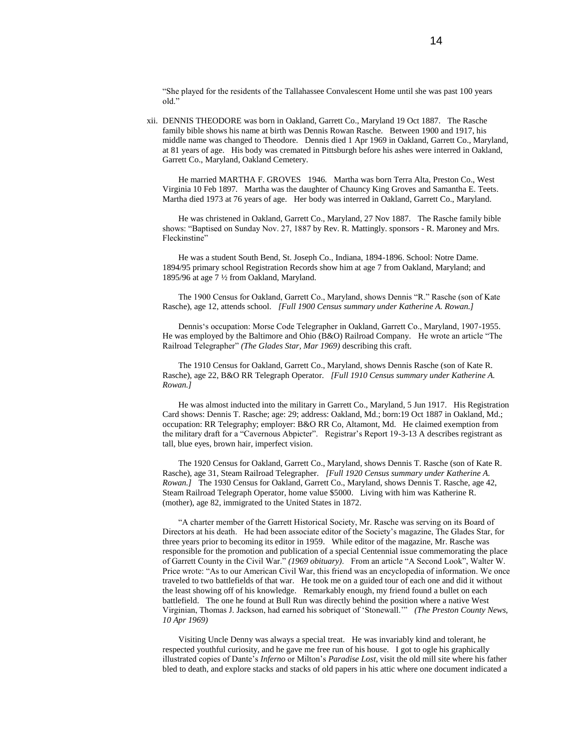"She played for the residents of the Tallahassee Convalescent Home until she was past 100 years old."

 xii. DENNIS THEODORE was born in Oakland, Garrett Co., Maryland 19 Oct 1887. The Rasche family bible shows his name at birth was Dennis Rowan Rasche. Between 1900 and 1917, his middle name was changed to Theodore. Dennis died 1 Apr 1969 in Oakland, Garrett Co., Maryland, at 81 years of age. His body was cremated in Pittsburgh before his ashes were interred in Oakland, Garrett Co., Maryland, Oakland Cemetery.

He married MARTHA F. GROVES 1946. Martha was born Terra Alta, Preston Co., West Virginia 10 Feb 1897. Martha was the daughter of Chauncy King Groves and Samantha E. Teets. Martha died 1973 at 76 years of age. Her body was interred in Oakland, Garrett Co., Maryland.

He was christened in Oakland, Garrett Co., Maryland, 27 Nov 1887. The Rasche family bible shows: "Baptised on Sunday Nov. 27, 1887 by Rev. R. Mattingly. sponsors - R. Maroney and Mrs. Fleckinstine"

He was a student South Bend, St. Joseph Co., Indiana, 1894-1896. School: Notre Dame. 1894/95 primary school Registration Records show him at age 7 from Oakland, Maryland; and 1895/96 at age 7 ½ from Oakland, Maryland.

The 1900 Census for Oakland, Garrett Co., Maryland, shows Dennis "R." Rasche (son of Kate Rasche), age 12, attends school. *[Full 1900 Census summary under Katherine A. Rowan.]*

Dennis's occupation: Morse Code Telegrapher in Oakland, Garrett Co., Maryland, 1907-1955. He was employed by the Baltimore and Ohio (B&O) Railroad Company. He wrote an article "The Railroad Telegrapher" *(The Glades Star, Mar 1969)* describing this craft.

The 1910 Census for Oakland, Garrett Co., Maryland, shows Dennis Rasche (son of Kate R. Rasche), age 22, B&O RR Telegraph Operator. *[Full 1910 Census summary under Katherine A. Rowan.]*

He was almost inducted into the military in Garrett Co., Maryland, 5 Jun 1917. His Registration Card shows: Dennis T. Rasche; age: 29; address: Oakland, Md.; born:19 Oct 1887 in Oakland, Md.; occupation: RR Telegraphy; employer: B&O RR Co, Altamont, Md. He claimed exemption from the military draft for a "Cavernous Abpicter". Registrar's Report 19-3-13 A describes registrant as tall, blue eyes, brown hair, imperfect vision.

The 1920 Census for Oakland, Garrett Co., Maryland, shows Dennis T. Rasche (son of Kate R. Rasche), age 31, Steam Railroad Telegrapher. *[Full 1920 Census summary under Katherine A. Rowan.]* The 1930 Census for Oakland, Garrett Co., Maryland, shows Dennis T. Rasche, age 42, Steam Railroad Telegraph Operator, home value \$5000. Living with him was Katherine R. (mother), age 82, immigrated to the United States in 1872.

"A charter member of the Garrett Historical Society, Mr. Rasche was serving on its Board of Directors at his death. He had been associate editor of the Society's magazine, The Glades Star, for three years prior to becoming its editor in 1959. While editor of the magazine, Mr. Rasche was responsible for the promotion and publication of a special Centennial issue commemorating the place of Garrett County in the Civil War." *(1969 obituary)*. From an article "A Second Look", Walter W. Price wrote: "As to our American Civil War, this friend was an encyclopedia of information. We once traveled to two battlefields of that war. He took me on a guided tour of each one and did it without the least showing off of his knowledge. Remarkably enough, my friend found a bullet on each battlefield. The one he found at Bull Run was directly behind the position where a native West Virginian, Thomas J. Jackson, had earned his sobriquet of 'Stonewall.'" *(The Preston County News, 10 Apr 1969)*

Visiting Uncle Denny was always a special treat. He was invariably kind and tolerant, he respected youthful curiosity, and he gave me free run of his house. I got to ogle his graphically illustrated copies of Dante's *Inferno* or Milton's *Paradise Lost*, visit the old mill site where his father bled to death, and explore stacks and stacks of old papers in his attic where one document indicated a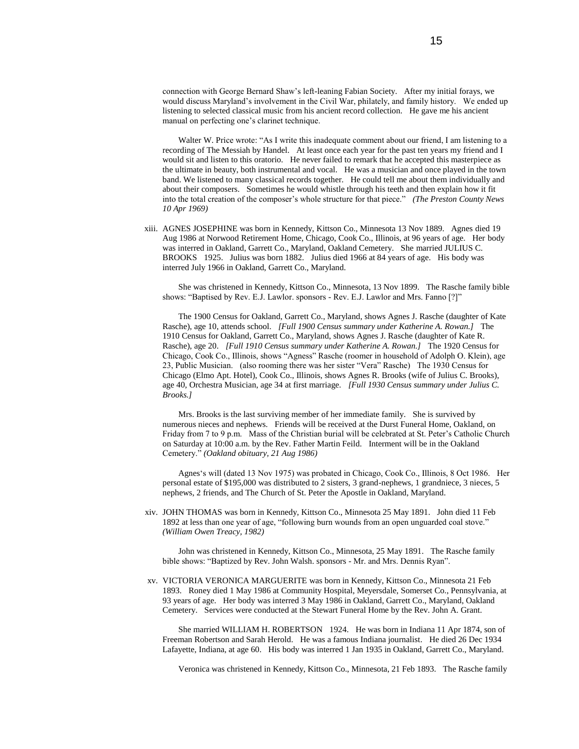connection with George Bernard Shaw's left-leaning Fabian Society. After my initial forays, we would discuss Maryland's involvement in the Civil War, philately, and family history. We ended up listening to selected classical music from his ancient record collection. He gave me his ancient manual on perfecting one's clarinet technique.

Walter W. Price wrote: "As I write this inadequate comment about our friend, I am listening to a recording of The Messiah by Handel. At least once each year for the past ten years my friend and I would sit and listen to this oratorio. He never failed to remark that he accepted this masterpiece as the ultimate in beauty, both instrumental and vocal. He was a musician and once played in the town band. We listened to many classical records together. He could tell me about them individually and about their composers. Sometimes he would whistle through his teeth and then explain how it fit into the total creation of the composer's whole structure for that piece." *(The Preston County News 10 Apr 1969)*

 xiii. AGNES JOSEPHINE was born in Kennedy, Kittson Co., Minnesota 13 Nov 1889. Agnes died 19 Aug 1986 at Norwood Retirement Home, Chicago, Cook Co., Illinois, at 96 years of age. Her body was interred in Oakland, Garrett Co., Maryland, Oakland Cemetery. She married JULIUS C. BROOKS 1925. Julius was born 1882. Julius died 1966 at 84 years of age. His body was interred July 1966 in Oakland, Garrett Co., Maryland.

She was christened in Kennedy, Kittson Co., Minnesota, 13 Nov 1899. The Rasche family bible shows: "Baptised by Rev. E.J. Lawlor. sponsors - Rev. E.J. Lawlor and Mrs. Fanno [?]"

The 1900 Census for Oakland, Garrett Co., Maryland, shows Agnes J. Rasche (daughter of Kate Rasche), age 10, attends school. *[Full 1900 Census summary under Katherine A. Rowan.]* The 1910 Census for Oakland, Garrett Co., Maryland, shows Agnes J. Rasche (daughter of Kate R. Rasche), age 20. *[Full 1910 Census summary under Katherine A. Rowan.]* The 1920 Census for Chicago, Cook Co., Illinois, shows "Agness" Rasche (roomer in household of Adolph O. Klein), age 23, Public Musician. (also rooming there was her sister "Vera" Rasche) The 1930 Census for Chicago (Elmo Apt. Hotel), Cook Co., Illinois, shows Agnes R. Brooks (wife of Julius C. Brooks), age 40, Orchestra Musician, age 34 at first marriage. *[Full 1930 Census summary under Julius C. Brooks.]*

Mrs. Brooks is the last surviving member of her immediate family. She is survived by numerous nieces and nephews. Friends will be received at the Durst Funeral Home, Oakland, on Friday from 7 to 9 p.m. Mass of the Christian burial will be celebrated at St. Peter's Catholic Church on Saturday at 10:00 a.m. by the Rev. Father Martin Feild. Interment will be in the Oakland Cemetery." *(Oakland obituary, 21 Aug 1986)*

Agnes's will (dated 13 Nov 1975) was probated in Chicago, Cook Co., Illinois, 8 Oct 1986. Her personal estate of \$195,000 was distributed to 2 sisters, 3 grand-nephews, 1 grandniece, 3 nieces, 5 nephews, 2 friends, and The Church of St. Peter the Apostle in Oakland, Maryland.

 xiv. JOHN THOMAS was born in Kennedy, Kittson Co., Minnesota 25 May 1891. John died 11 Feb 1892 at less than one year of age, "following burn wounds from an open unguarded coal stove." *(William Owen Treacy, 1982)*

John was christened in Kennedy, Kittson Co., Minnesota, 25 May 1891. The Rasche family bible shows: "Baptized by Rev. John Walsh. sponsors - Mr. and Mrs. Dennis Ryan".

 xv. VICTORIA VERONICA MARGUERITE was born in Kennedy, Kittson Co., Minnesota 21 Feb 1893. Roney died 1 May 1986 at Community Hospital, Meyersdale, Somerset Co., Pennsylvania, at 93 years of age. Her body was interred 3 May 1986 in Oakland, Garrett Co., Maryland, Oakland Cemetery. Services were conducted at the Stewart Funeral Home by the Rev. John A. Grant.

She married WILLIAM H. ROBERTSON 1924. He was born in Indiana 11 Apr 1874, son of Freeman Robertson and Sarah Herold. He was a famous Indiana journalist. He died 26 Dec 1934 Lafayette, Indiana, at age 60. His body was interred 1 Jan 1935 in Oakland, Garrett Co., Maryland.

Veronica was christened in Kennedy, Kittson Co., Minnesota, 21 Feb 1893. The Rasche family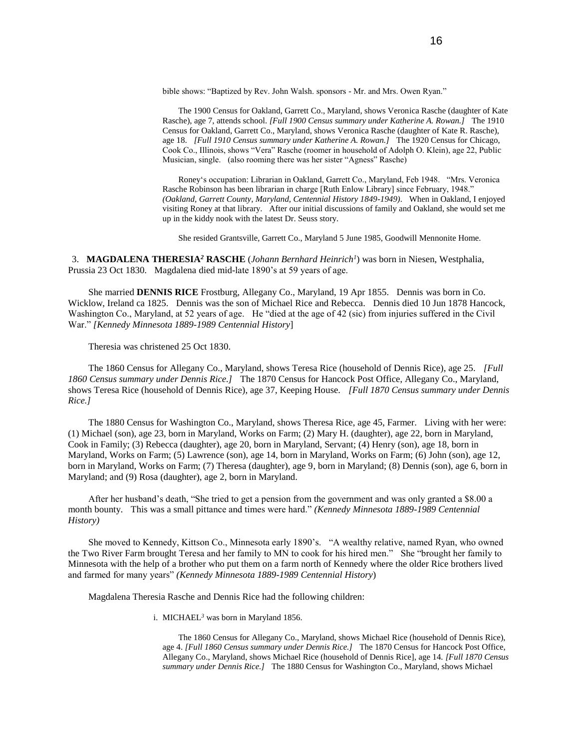bible shows: "Baptized by Rev. John Walsh. sponsors - Mr. and Mrs. Owen Ryan."

The 1900 Census for Oakland, Garrett Co., Maryland, shows Veronica Rasche (daughter of Kate Rasche), age 7, attends school. *[Full 1900 Census summary under Katherine A. Rowan.]* The 1910 Census for Oakland, Garrett Co., Maryland, shows Veronica Rasche (daughter of Kate R. Rasche), age 18. *[Full 1910 Census summary under Katherine A. Rowan.]* The 1920 Census for Chicago, Cook Co., Illinois, shows "Vera" Rasche (roomer in household of Adolph O. Klein), age 22, Public Musician, single. (also rooming there was her sister "Agness" Rasche)

Roney's occupation: Librarian in Oakland, Garrett Co., Maryland, Feb 1948. "Mrs. Veronica Rasche Robinson has been librarian in charge [Ruth Enlow Library] since February, 1948." *(Oakland, Garrett County, Maryland, Centennial History 1849-1949)*. When in Oakland, I enjoyed visiting Roney at that library. After our initial discussions of family and Oakland, she would set me up in the kiddy nook with the latest Dr. Seuss story.

She resided Grantsville, Garrett Co., Maryland 5 June 1985, Goodwill Mennonite Home.

3. **MAGDALENA THERESIA***<sup>2</sup>* **RASCHE** (*Johann Bernhard Heinrich<sup>1</sup>* ) was born in Niesen, Westphalia, Prussia 23 Oct 1830. Magdalena died mid-late 1890's at 59 years of age.

She married **DENNIS RICE** Frostburg, Allegany Co., Maryland, 19 Apr 1855. Dennis was born in Co. Wicklow, Ireland ca 1825. Dennis was the son of Michael Rice and Rebecca. Dennis died 10 Jun 1878 Hancock, Washington Co., Maryland, at 52 years of age. He "died at the age of 42 (sic) from injuries suffered in the Civil War." *[Kennedy Minnesota 1889-1989 Centennial History*]

Theresia was christened 25 Oct 1830.

The 1860 Census for Allegany Co., Maryland, shows Teresa Rice (household of Dennis Rice), age 25. *[Full 1860 Census summary under Dennis Rice.]* The 1870 Census for Hancock Post Office, Allegany Co., Maryland, shows Teresa Rice (household of Dennis Rice), age 37, Keeping House. *[Full 1870 Census summary under Dennis Rice.]*

The 1880 Census for Washington Co., Maryland, shows Theresa Rice, age 45, Farmer. Living with her were: (1) Michael (son), age 23, born in Maryland, Works on Farm; (2) Mary H. (daughter), age 22, born in Maryland, Cook in Family; (3) Rebecca (daughter), age 20, born in Maryland, Servant; (4) Henry (son), age 18, born in Maryland, Works on Farm; (5) Lawrence (son), age 14, born in Maryland, Works on Farm; (6) John (son), age 12, born in Maryland, Works on Farm; (7) Theresa (daughter), age 9, born in Maryland; (8) Dennis (son), age 6, born in Maryland; and (9) Rosa (daughter), age 2, born in Maryland.

After her husband's death, "She tried to get a pension from the government and was only granted a \$8.00 a month bounty. This was a small pittance and times were hard." *(Kennedy Minnesota 1889-1989 Centennial History)*

She moved to Kennedy, Kittson Co., Minnesota early 1890's. "A wealthy relative, named Ryan, who owned the Two River Farm brought Teresa and her family to MN to cook for his hired men." She "brought her family to Minnesota with the help of a brother who put them on a farm north of Kennedy where the older Rice brothers lived and farmed for many years" *(Kennedy Minnesota 1889-1989 Centennial History*)

Magdalena Theresia Rasche and Dennis Rice had the following children:

i. MICHAEL*<sup>3</sup>* was born in Maryland 1856.

The 1860 Census for Allegany Co., Maryland, shows Michael Rice (household of Dennis Rice), age 4. *[Full 1860 Census summary under Dennis Rice.]* The 1870 Census for Hancock Post Office, Allegany Co., Maryland, shows Michael Rice (household of Dennis Rice], age 14. *[Full 1870 Census summary under Dennis Rice.]* The 1880 Census for Washington Co., Maryland, shows Michael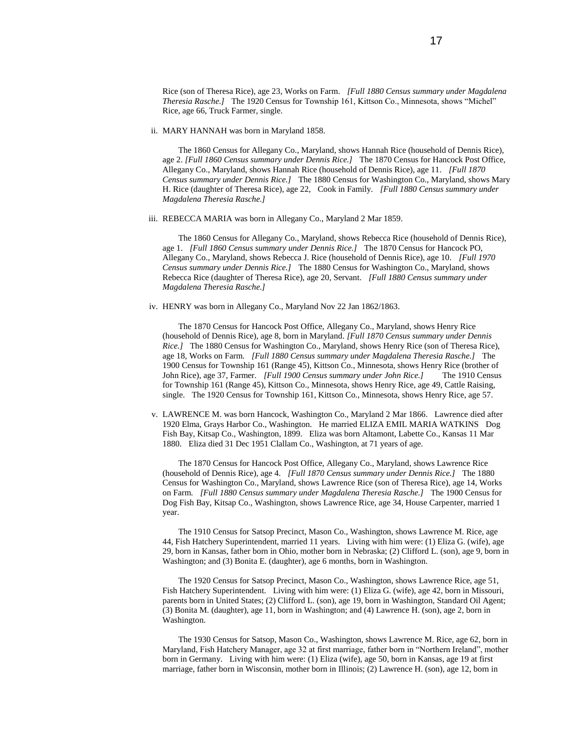Rice (son of Theresa Rice), age 23, Works on Farm. *[Full 1880 Census summary under Magdalena Theresia Rasche.]* The 1920 Census for Township 161, Kittson Co., Minnesota, shows "Michel" Rice, age 66, Truck Farmer, single.

ii. MARY HANNAH was born in Maryland 1858.

The 1860 Census for Allegany Co., Maryland, shows Hannah Rice (household of Dennis Rice), age 2. *[Full 1860 Census summary under Dennis Rice.]* The 1870 Census for Hancock Post Office, Allegany Co., Maryland, shows Hannah Rice (household of Dennis Rice), age 11. *[Full 1870 Census summary under Dennis Rice.]* The 1880 Census for Washington Co., Maryland, shows Mary H. Rice (daughter of Theresa Rice), age 22, Cook in Family. *[Full 1880 Census summary under Magdalena Theresia Rasche.]*

iii. REBECCA MARIA was born in Allegany Co., Maryland 2 Mar 1859.

The 1860 Census for Allegany Co., Maryland, shows Rebecca Rice (household of Dennis Rice), age 1. *[Full 1860 Census summary under Dennis Rice.]* The 1870 Census for Hancock PO, Allegany Co., Maryland, shows Rebecca J. Rice (household of Dennis Rice), age 10. *[Full 1970 Census summary under Dennis Rice.]* The 1880 Census for Washington Co., Maryland, shows Rebecca Rice (daughter of Theresa Rice), age 20, Servant. *[Full 1880 Census summary under Magdalena Theresia Rasche.]*

iv. HENRY was born in Allegany Co., Maryland Nov 22 Jan 1862/1863.

The 1870 Census for Hancock Post Office, Allegany Co., Maryland, shows Henry Rice (household of Dennis Rice), age 8, born in Maryland. *[Full 1870 Census summary under Dennis Rice.]* The 1880 Census for Washington Co., Maryland, shows Henry Rice (son of Theresa Rice), age 18, Works on Farm. *[Full 1880 Census summary under Magdalena Theresia Rasche.]* The 1900 Census for Township 161 (Range 45), Kittson Co., Minnesota, shows Henry Rice (brother of John Rice), age 37, Farmer. *[Full 1900 Census summary under John Rice.]* The 1910 Census for Township 161 (Range 45), Kittson Co., Minnesota, shows Henry Rice, age 49, Cattle Raising, single. The 1920 Census for Township 161, Kittson Co., Minnesota, shows Henry Rice, age 57.

 v. LAWRENCE M. was born Hancock, Washington Co., Maryland 2 Mar 1866. Lawrence died after 1920 Elma, Grays Harbor Co., Washington. He married ELIZA EMIL MARIA WATKINS Dog Fish Bay, Kitsap Co., Washington, 1899. Eliza was born Altamont, Labette Co., Kansas 11 Mar 1880. Eliza died 31 Dec 1951 Clallam Co., Washington, at 71 years of age.

The 1870 Census for Hancock Post Office, Allegany Co., Maryland, shows Lawrence Rice (household of Dennis Rice), age 4. *[Full 1870 Census summary under Dennis Rice.]* The 1880 Census for Washington Co., Maryland, shows Lawrence Rice (son of Theresa Rice), age 14, Works on Farm. *[Full 1880 Census summary under Magdalena Theresia Rasche.]* The 1900 Census for Dog Fish Bay, Kitsap Co., Washington, shows Lawrence Rice, age 34, House Carpenter, married 1 year.

The 1910 Census for Satsop Precinct, Mason Co., Washington, shows Lawrence M. Rice, age 44, Fish Hatchery Superintendent, married 11 years. Living with him were: (1) Eliza G. (wife), age 29, born in Kansas, father born in Ohio, mother born in Nebraska; (2) Clifford L. (son), age 9, born in Washington; and (3) Bonita E. (daughter), age 6 months, born in Washington.

The 1920 Census for Satsop Precinct, Mason Co., Washington, shows Lawrence Rice, age 51, Fish Hatchery Superintendent. Living with him were: (1) Eliza G. (wife), age 42, born in Missouri, parents born in United States; (2) Clifford L. (son), age 19, born in Washington, Standard Oil Agent; (3) Bonita M. (daughter), age 11, born in Washington; and (4) Lawrence H. (son), age 2, born in Washington.

The 1930 Census for Satsop, Mason Co., Washington, shows Lawrence M. Rice, age 62, born in Maryland, Fish Hatchery Manager, age 32 at first marriage, father born in "Northern Ireland", mother born in Germany. Living with him were: (1) Eliza (wife), age 50, born in Kansas, age 19 at first marriage, father born in Wisconsin, mother born in Illinois; (2) Lawrence H. (son), age 12, born in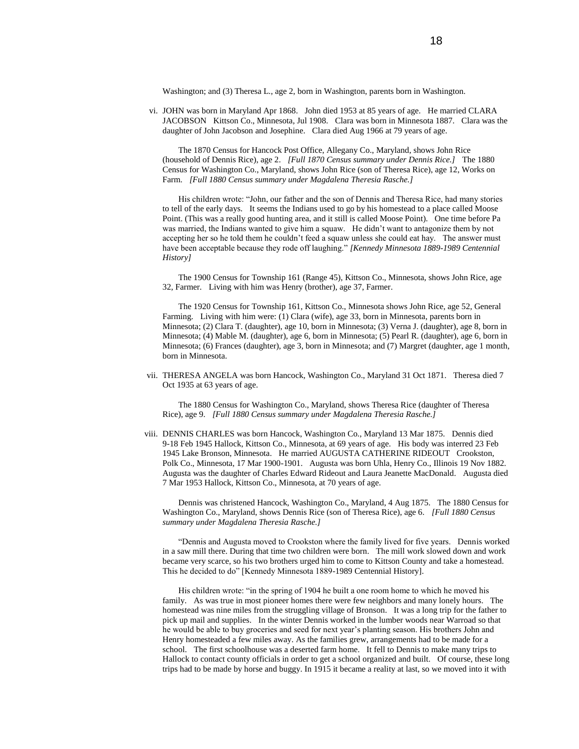Washington; and (3) Theresa L., age 2, born in Washington, parents born in Washington.

 vi. JOHN was born in Maryland Apr 1868. John died 1953 at 85 years of age. He married CLARA JACOBSON Kittson Co., Minnesota, Jul 1908. Clara was born in Minnesota 1887. Clara was the daughter of John Jacobson and Josephine. Clara died Aug 1966 at 79 years of age.

The 1870 Census for Hancock Post Office, Allegany Co., Maryland, shows John Rice (household of Dennis Rice), age 2. *[Full 1870 Census summary under Dennis Rice.]* The 1880 Census for Washington Co., Maryland, shows John Rice (son of Theresa Rice), age 12, Works on Farm. *[Full 1880 Census summary under Magdalena Theresia Rasche.]*

His children wrote: "John, our father and the son of Dennis and Theresa Rice, had many stories to tell of the early days. It seems the Indians used to go by his homestead to a place called Moose Point. (This was a really good hunting area, and it still is called Moose Point). One time before Pa was married, the Indians wanted to give him a squaw. He didn't want to antagonize them by not accepting her so he told them he couldn't feed a squaw unless she could eat hay. The answer must have been acceptable because they rode off laughing." *[Kennedy Minnesota 1889-1989 Centennial History]*

The 1900 Census for Township 161 (Range 45), Kittson Co., Minnesota, shows John Rice, age 32, Farmer. Living with him was Henry (brother), age 37, Farmer.

The 1920 Census for Township 161, Kittson Co., Minnesota shows John Rice, age 52, General Farming. Living with him were: (1) Clara (wife), age 33, born in Minnesota, parents born in Minnesota; (2) Clara T. (daughter), age 10, born in Minnesota; (3) Verna J. (daughter), age 8, born in Minnesota; (4) Mable M. (daughter), age 6, born in Minnesota; (5) Pearl R. (daughter), age 6, born in Minnesota; (6) Frances (daughter), age 3, born in Minnesota; and (7) Margret (daughter, age 1 month, born in Minnesota.

 vii. THERESA ANGELA was born Hancock, Washington Co., Maryland 31 Oct 1871. Theresa died 7 Oct 1935 at 63 years of age.

The 1880 Census for Washington Co., Maryland, shows Theresa Rice (daughter of Theresa Rice), age 9. *[Full 1880 Census summary under Magdalena Theresia Rasche.]*

 viii. DENNIS CHARLES was born Hancock, Washington Co., Maryland 13 Mar 1875. Dennis died 9-18 Feb 1945 Hallock, Kittson Co., Minnesota, at 69 years of age. His body was interred 23 Feb 1945 Lake Bronson, Minnesota. He married AUGUSTA CATHERINE RIDEOUT Crookston, Polk Co., Minnesota, 17 Mar 1900-1901. Augusta was born Uhla, Henry Co., Illinois 19 Nov 1882. Augusta was the daughter of Charles Edward Rideout and Laura Jeanette MacDonald. Augusta died 7 Mar 1953 Hallock, Kittson Co., Minnesota, at 70 years of age.

Dennis was christened Hancock, Washington Co., Maryland, 4 Aug 1875. The 1880 Census for Washington Co., Maryland, shows Dennis Rice (son of Theresa Rice), age 6. *[Full 1880 Census summary under Magdalena Theresia Rasche.]*

"Dennis and Augusta moved to Crookston where the family lived for five years. Dennis worked in a saw mill there. During that time two children were born. The mill work slowed down and work became very scarce, so his two brothers urged him to come to Kittson County and take a homestead. This he decided to do" [Kennedy Minnesota 1889-1989 Centennial History].

His children wrote: "in the spring of 1904 he built a one room home to which he moved his family. As was true in most pioneer homes there were few neighbors and many lonely hours. The homestead was nine miles from the struggling village of Bronson. It was a long trip for the father to pick up mail and supplies. In the winter Dennis worked in the lumber woods near Warroad so that he would be able to buy groceries and seed for next year's planting season. His brothers John and Henry homesteaded a few miles away. As the families grew, arrangements had to be made for a school. The first schoolhouse was a deserted farm home. It fell to Dennis to make many trips to Hallock to contact county officials in order to get a school organized and built. Of course, these long trips had to be made by horse and buggy. In 1915 it became a reality at last, so we moved into it with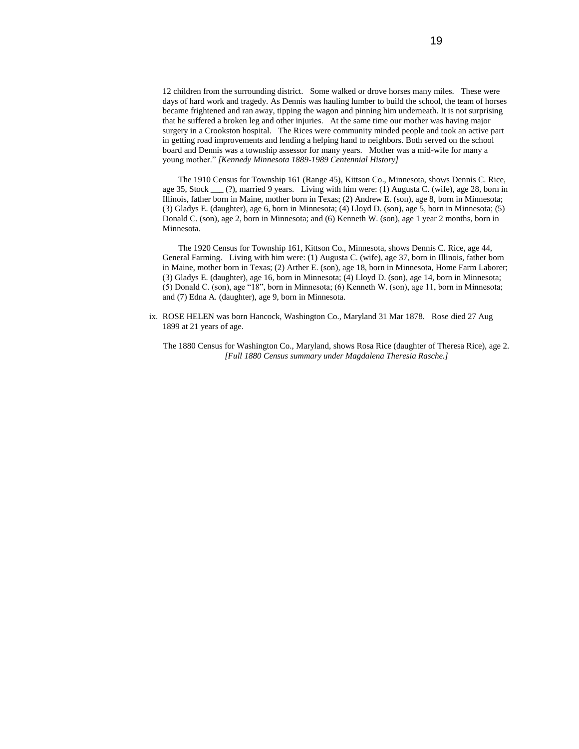12 children from the surrounding district. Some walked or drove horses many miles. These were days of hard work and tragedy. As Dennis was hauling lumber to build the school, the team of horses became frightened and ran away, tipping the wagon and pinning him underneath. It is not surprising that he suffered a broken leg and other injuries. At the same time our mother was having major surgery in a Crookston hospital. The Rices were community minded people and took an active part in getting road improvements and lending a helping hand to neighbors. Both served on the school board and Dennis was a township assessor for many years. Mother was a mid-wife for many a young mother." *[Kennedy Minnesota 1889-1989 Centennial History]*

The 1910 Census for Township 161 (Range 45), Kittson Co., Minnesota, shows Dennis C. Rice, age 35, Stock \_\_\_ (?), married 9 years. Living with him were: (1) Augusta C. (wife), age 28, born in Illinois, father born in Maine, mother born in Texas; (2) Andrew E. (son), age 8, born in Minnesota; (3) Gladys E. (daughter), age 6, born in Minnesota; (4) Lloyd D. (son), age 5, born in Minnesota; (5) Donald C. (son), age 2, born in Minnesota; and (6) Kenneth W. (son), age 1 year 2 months, born in Minnesota.

The 1920 Census for Township 161, Kittson Co., Minnesota, shows Dennis C. Rice, age 44, General Farming. Living with him were: (1) Augusta C. (wife), age 37, born in Illinois, father born in Maine, mother born in Texas; (2) Arther E. (son), age 18, born in Minnesota, Home Farm Laborer; (3) Gladys E. (daughter), age 16, born in Minnesota; (4) Lloyd D. (son), age 14, born in Minnesota; (5) Donald C. (son), age "18", born in Minnesota; (6) Kenneth W. (son), age 11, born in Minnesota; and (7) Edna A. (daughter), age 9, born in Minnesota.

 ix. ROSE HELEN was born Hancock, Washington Co., Maryland 31 Mar 1878. Rose died 27 Aug 1899 at 21 years of age.

The 1880 Census for Washington Co., Maryland, shows Rosa Rice (daughter of Theresa Rice), age 2. *[Full 1880 Census summary under Magdalena Theresia Rasche.]*